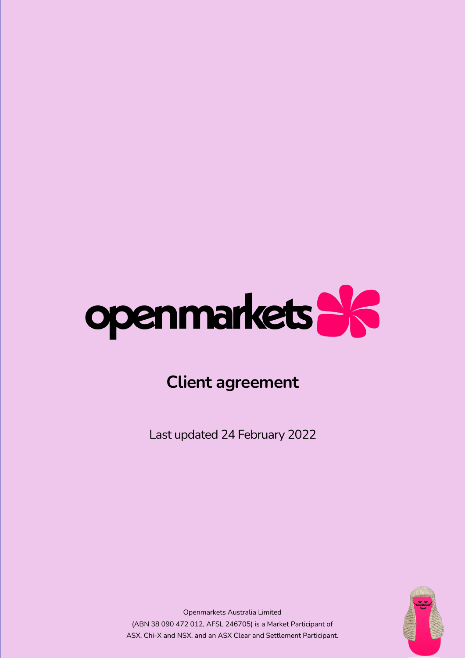

# **Client agreement**

Last updated 24 February 2022



Openmarkets Australia Limited (ABN 38 090 472 012, AFSL 246705) is a Market Participant of ASX, Chi-X and NSX, and an ASX Clear and Settlement Participant.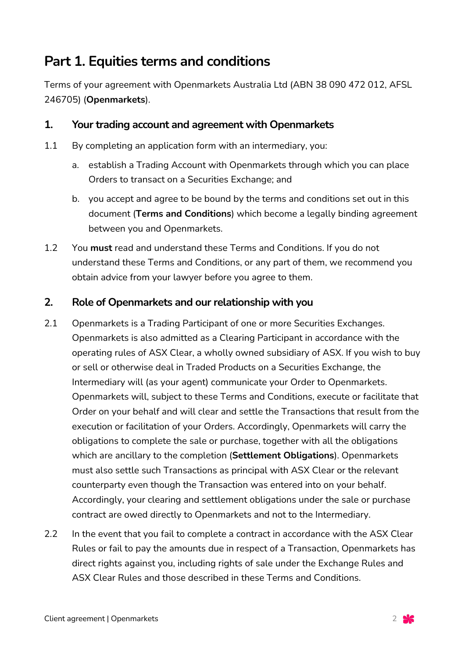# **Part 1. Equities terms and conditions**

Terms of your agreement with Openmarkets Australia Ltd (ABN 38 090 472 012, AFSL 246705) (**Openmarkets**).

#### **1. Your trading account and agreement with Openmarkets**

- 1.1 By completing an application form with an intermediary, you:
	- a. establish a Trading Account with Openmarkets through which you can place Orders to transact on a Securities Exchange; and
	- b. you accept and agree to be bound by the terms and conditions set out in this document (**Terms and Conditions**) which become a legally binding agreement between you and Openmarkets.
- 1.2 You **must** read and understand these Terms and Conditions. If you do not understand these Terms and Conditions, or any part of them, we recommend you obtain advice from your lawyer before you agree to them.

#### **2. Role of Openmarkets and our relationship with you**

- 2.1 Openmarkets is a Trading Participant of one or more Securities Exchanges. Openmarkets is also admitted as a Clearing Participant in accordance with the operating rules of ASX Clear, a wholly owned subsidiary of ASX. If you wish to buy or sell or otherwise deal in Traded Products on a Securities Exchange, the Intermediary will (as your agent) communicate your Order to Openmarkets. Openmarkets will, subject to these Terms and Conditions, execute or facilitate that Order on your behalf and will clear and settle the Transactions that result from the execution or facilitation of your Orders. Accordingly, Openmarkets will carry the obligations to complete the sale or purchase, together with all the obligations which are ancillary to the completion (**Settlement Obligations**). Openmarkets must also settle such Transactions as principal with ASX Clear or the relevant counterparty even though the Transaction was entered into on your behalf. Accordingly, your clearing and settlement obligations under the sale or purchase contract are owed directly to Openmarkets and not to the Intermediary.
- 2.2 In the event that you fail to complete a contract in accordance with the ASX Clear Rules or fail to pay the amounts due in respect of a Transaction, Openmarkets has direct rights against you, including rights of sale under the Exchange Rules and ASX Clear Rules and those described in these Terms and Conditions.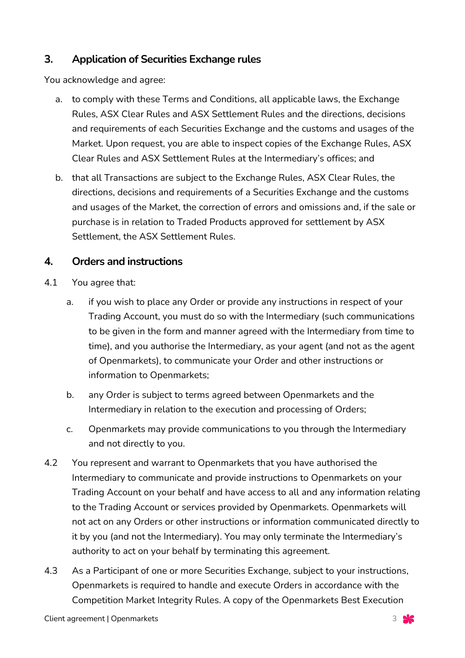## **3. Application of Securities Exchange rules**

You acknowledge and agree:

- a. to comply with these Terms and Conditions, all applicable laws, the Exchange Rules, ASX Clear Rules and ASX Settlement Rules and the directions, decisions and requirements of each Securities Exchange and the customs and usages of the Market. Upon request, you are able to inspect copies of the Exchange Rules, ASX Clear Rules and ASX Settlement Rules at the Intermediary's offices; and
- b. that all Transactions are subject to the Exchange Rules, ASX Clear Rules, the directions, decisions and requirements of a Securities Exchange and the customs and usages of the Market, the correction of errors and omissions and, if the sale or purchase is in relation to Traded Products approved for settlement by ASX Settlement, the ASX Settlement Rules.

#### **4. Orders and instructions**

- 4.1 You agree that:
	- a. if you wish to place any Order or provide any instructions in respect of your Trading Account, you must do so with the Intermediary (such communications to be given in the form and manner agreed with the Intermediary from time to time), and you authorise the Intermediary, as your agent (and not as the agent of Openmarkets), to communicate your Order and other instructions or information to Openmarkets;
	- b. any Order is subject to terms agreed between Openmarkets and the Intermediary in relation to the execution and processing of Orders;
	- c. Openmarkets may provide communications to you through the Intermediary and not directly to you.
- 4.2 You represent and warrant to Openmarkets that you have authorised the Intermediary to communicate and provide instructions to Openmarkets on your Trading Account on your behalf and have access to all and any information relating to the Trading Account or services provided by Openmarkets. Openmarkets will not act on any Orders or other instructions or information communicated directly to it by you (and not the Intermediary). You may only terminate the Intermediary's authority to act on your behalf by terminating this agreement.
- 4.3 As a Participant of one or more Securities Exchange, subject to your instructions, Openmarkets is required to handle and execute Orders in accordance with the Competition Market Integrity Rules. A copy of the Openmarkets Best Execution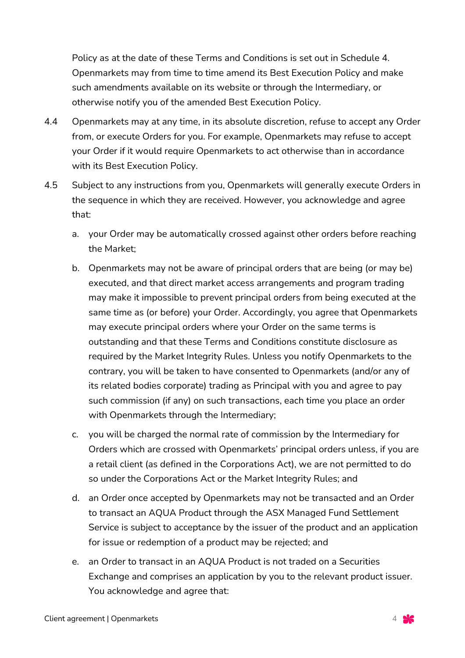Policy as at the date of these Terms and Conditions is set out in Schedule 4. Openmarkets may from time to time amend its Best Execution Policy and make such amendments available on its website or through the Intermediary, or otherwise notify you of the amended Best Execution Policy.

- 4.4 Openmarkets may at any time, in its absolute discretion, refuse to accept any Order from, or execute Orders for you. For example, Openmarkets may refuse to accept your Order if it would require Openmarkets to act otherwise than in accordance with its Best Execution Policy.
- 4.5 Subject to any instructions from you, Openmarkets will generally execute Orders in the sequence in which they are received. However, you acknowledge and agree that:
	- a. your Order may be automatically crossed against other orders before reaching the Market;
	- b. Openmarkets may not be aware of principal orders that are being (or may be) executed, and that direct market access arrangements and program trading may make it impossible to prevent principal orders from being executed at the same time as (or before) your Order. Accordingly, you agree that Openmarkets may execute principal orders where your Order on the same terms is outstanding and that these Terms and Conditions constitute disclosure as required by the Market Integrity Rules. Unless you notify Openmarkets to the contrary, you will be taken to have consented to Openmarkets (and/or any of its related bodies corporate) trading as Principal with you and agree to pay such commission (if any) on such transactions, each time you place an order with Openmarkets through the Intermediary;
	- c. you will be charged the normal rate of commission by the Intermediary for Orders which are crossed with Openmarkets' principal orders unless, if you are a retail client (as defined in the Corporations Act), we are not permitted to do so under the Corporations Act or the Market Integrity Rules; and
	- d. an Order once accepted by Openmarkets may not be transacted and an Order to transact an AQUA Product through the ASX Managed Fund Settlement Service is subject to acceptance by the issuer of the product and an application for issue or redemption of a product may be rejected; and
	- e. an Order to transact in an AQUA Product is not traded on a Securities Exchange and comprises an application by you to the relevant product issuer. You acknowledge and agree that: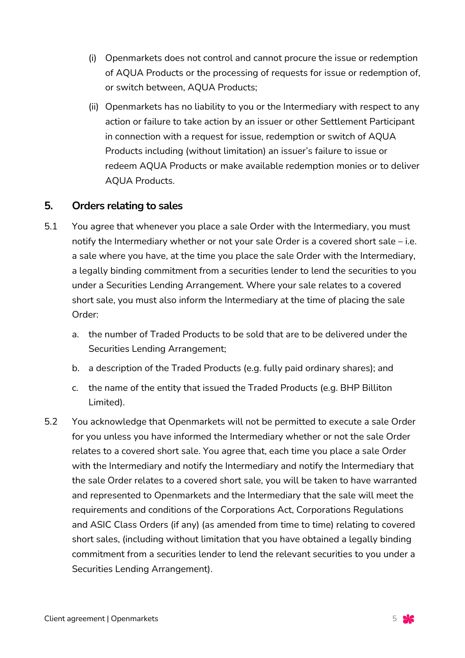- (i) Openmarkets does not control and cannot procure the issue or redemption of AQUA Products or the processing of requests for issue or redemption of, or switch between, AQUA Products;
- (ii) Openmarkets has no liability to you or the Intermediary with respect to any action or failure to take action by an issuer or other Settlement Participant in connection with a request for issue, redemption or switch of AQUA Products including (without limitation) an issuer's failure to issue or redeem AQUA Products or make available redemption monies or to deliver AQUA Products.

#### **5. Orders relating to sales**

- 5.1 You agree that whenever you place a sale Order with the Intermediary, you must notify the Intermediary whether or not your sale Order is a covered short sale – i.e. a sale where you have, at the time you place the sale Order with the Intermediary, a legally binding commitment from a securities lender to lend the securities to you under a Securities Lending Arrangement. Where your sale relates to a covered short sale, you must also inform the Intermediary at the time of placing the sale Order:
	- a. the number of Traded Products to be sold that are to be delivered under the Securities Lending Arrangement;
	- b. a description of the Traded Products (e.g. fully paid ordinary shares); and
	- c. the name of the entity that issued the Traded Products (e.g. BHP Billiton Limited).
- 5.2 You acknowledge that Openmarkets will not be permitted to execute a sale Order for you unless you have informed the Intermediary whether or not the sale Order relates to a covered short sale. You agree that, each time you place a sale Order with the Intermediary and notify the Intermediary and notify the Intermediary that the sale Order relates to a covered short sale, you will be taken to have warranted and represented to Openmarkets and the Intermediary that the sale will meet the requirements and conditions of the Corporations Act, Corporations Regulations and ASIC Class Orders (if any) (as amended from time to time) relating to covered short sales, (including without limitation that you have obtained a legally binding commitment from a securities lender to lend the relevant securities to you under a Securities Lending Arrangement).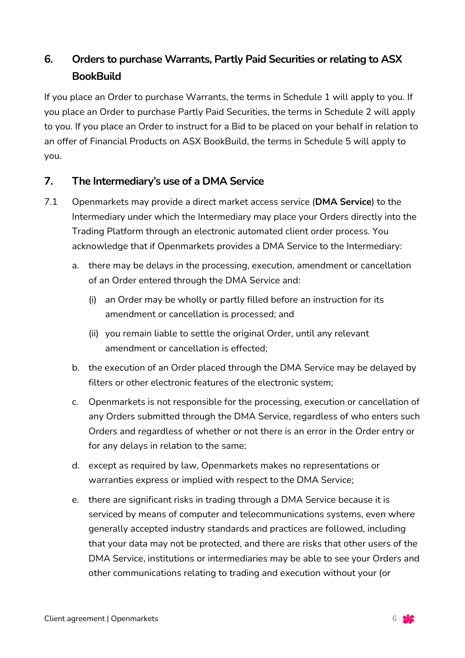# **6. Orders to purchase Warrants, Partly Paid Securities or relating to ASX BookBuild**

If you place an Order to purchase Warrants, the terms in Schedule 1 will apply to you. If you place an Order to purchase Partly Paid Securities, the terms in Schedule 2 will apply to you. If you place an Order to instruct for a Bid to be placed on your behalf in relation to an offer of Financial Products on ASX BookBuild, the terms in Schedule 5 will apply to you.

# **7. The Intermediary's use of a DMA Service**

- 7.1 Openmarkets may provide a direct market access service (**DMA Service**) to the Intermediary under which the Intermediary may place your Orders directly into the Trading Platform through an electronic automated client order process. You acknowledge that if Openmarkets provides a DMA Service to the Intermediary:
	- a. there may be delays in the processing, execution, amendment or cancellation of an Order entered through the DMA Service and:
		- (i) an Order may be wholly or partly filled before an instruction for its amendment or cancellation is processed; and
		- (ii) you remain liable to settle the original Order, until any relevant amendment or cancellation is effected;
	- b. the execution of an Order placed through the DMA Service may be delayed by filters or other electronic features of the electronic system;
	- c. Openmarkets is not responsible for the processing, execution or cancellation of any Orders submitted through the DMA Service, regardless of who enters such Orders and regardless of whether or not there is an error in the Order entry or for any delays in relation to the same;
	- d. except as required by law, Openmarkets makes no representations or warranties express or implied with respect to the DMA Service;
	- e. there are significant risks in trading through a DMA Service because it is serviced by means of computer and telecommunications systems, even where generally accepted industry standards and practices are followed, including that your data may not be protected, and there are risks that other users of the DMA Service, institutions or intermediaries may be able to see your Orders and other communications relating to trading and execution without your (or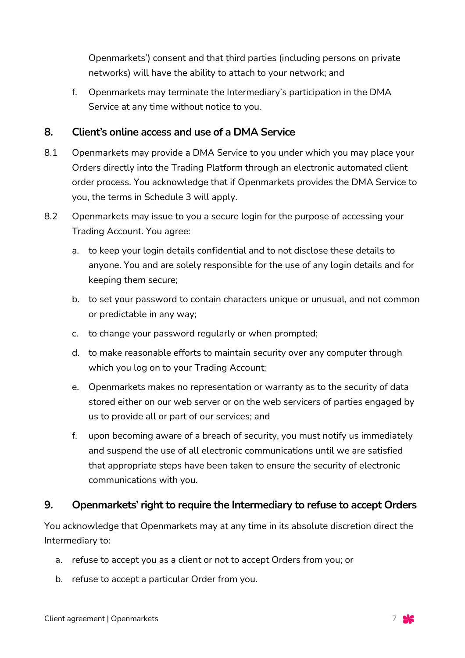Openmarkets') consent and that third parties (including persons on private networks) will have the ability to attach to your network; and

f. Openmarkets may terminate the Intermediary's participation in the DMA Service at any time without notice to you.

### **8. Client's online access and use of a DMA Service**

- 8.1 Openmarkets may provide a DMA Service to you under which you may place your Orders directly into the Trading Platform through an electronic automated client order process. You acknowledge that if Openmarkets provides the DMA Service to you, the terms in Schedule 3 will apply.
- 8.2 Openmarkets may issue to you a secure login for the purpose of accessing your Trading Account. You agree:
	- a. to keep your login details confidential and to not disclose these details to anyone. You and are solely responsible for the use of any login details and for keeping them secure;
	- b. to set your password to contain characters unique or unusual, and not common or predictable in any way;
	- c. to change your password regularly or when prompted;
	- d. to make reasonable efforts to maintain security over any computer through which you log on to your Trading Account;
	- e. Openmarkets makes no representation or warranty as to the security of data stored either on our web server or on the web servicers of parties engaged by us to provide all or part of our services; and
	- f. upon becoming aware of a breach of security, you must notify us immediately and suspend the use of all electronic communications until we are satisfied that appropriate steps have been taken to ensure the security of electronic communications with you.

# **9. Openmarkets' right to require the Intermediary to refuse to accept Orders**

You acknowledge that Openmarkets may at any time in its absolute discretion direct the Intermediary to:

- a. refuse to accept you as a client or not to accept Orders from you; or
- b. refuse to accept a particular Order from you.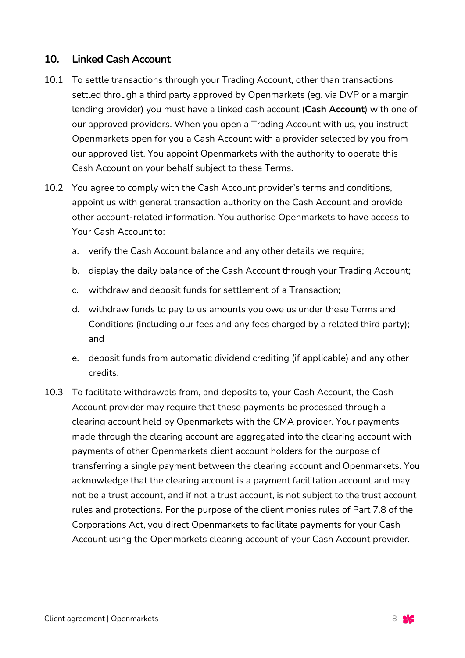#### **10. Linked Cash Account**

- 10.1 To settle transactions through your Trading Account, other than transactions settled through a third party approved by Openmarkets (eg. via DVP or a margin lending provider) you must have a linked cash account (**Cash Account**) with one of our approved providers. When you open a Trading Account with us, you instruct Openmarkets open for you a Cash Account with a provider selected by you from our approved list. You appoint Openmarkets with the authority to operate this Cash Account on your behalf subject to these Terms.
- 10.2 You agree to comply with the Cash Account provider's terms and conditions, appoint us with general transaction authority on the Cash Account and provide other account-related information. You authorise Openmarkets to have access to Your Cash Account to:
	- a. verify the Cash Account balance and any other details we require;
	- b. display the daily balance of the Cash Account through your Trading Account;
	- c. withdraw and deposit funds for settlement of a Transaction;
	- d. withdraw funds to pay to us amounts you owe us under these Terms and Conditions (including our fees and any fees charged by a related third party); and
	- e. deposit funds from automatic dividend crediting (if applicable) and any other credits.
- 10.3 To facilitate withdrawals from, and deposits to, your Cash Account, the Cash Account provider may require that these payments be processed through a clearing account held by Openmarkets with the CMA provider. Your payments made through the clearing account are aggregated into the clearing account with payments of other Openmarkets client account holders for the purpose of transferring a single payment between the clearing account and Openmarkets. You acknowledge that the clearing account is a payment facilitation account and may not be a trust account, and if not a trust account, is not subject to the trust account rules and protections. For the purpose of the client monies rules of Part 7.8 of the Corporations Act, you direct Openmarkets to facilitate payments for your Cash Account using the Openmarkets clearing account of your Cash Account provider.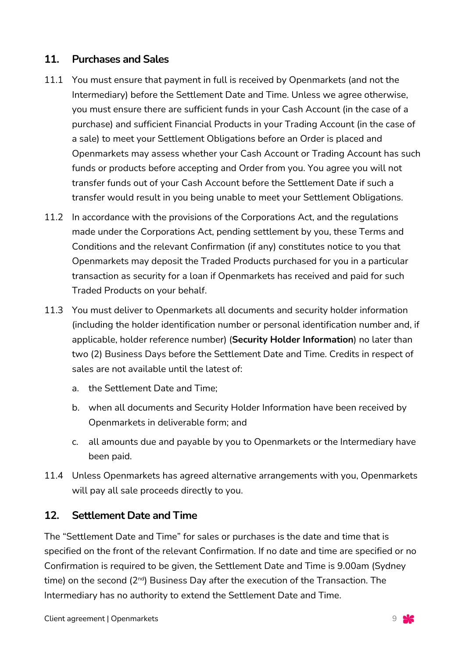#### **11. Purchases and Sales**

- 11.1 You must ensure that payment in full is received by Openmarkets (and not the Intermediary) before the Settlement Date and Time. Unless we agree otherwise, you must ensure there are sufficient funds in your Cash Account (in the case of a purchase) and sufficient Financial Products in your Trading Account (in the case of a sale) to meet your Settlement Obligations before an Order is placed and Openmarkets may assess whether your Cash Account or Trading Account has such funds or products before accepting and Order from you. You agree you will not transfer funds out of your Cash Account before the Settlement Date if such a transfer would result in you being unable to meet your Settlement Obligations.
- 11.2 In accordance with the provisions of the Corporations Act, and the regulations made under the Corporations Act, pending settlement by you, these Terms and Conditions and the relevant Confirmation (if any) constitutes notice to you that Openmarkets may deposit the Traded Products purchased for you in a particular transaction as security for a loan if Openmarkets has received and paid for such Traded Products on your behalf.
- 11.3 You must deliver to Openmarkets all documents and security holder information (including the holder identification number or personal identification number and, if applicable, holder reference number) (**Security Holder Information**) no later than two (2) Business Days before the Settlement Date and Time. Credits in respect of sales are not available until the latest of:
	- a. the Settlement Date and Time;
	- b. when all documents and Security Holder Information have been received by Openmarkets in deliverable form; and
	- c. all amounts due and payable by you to Openmarkets or the Intermediary have been paid.
- 11.4 Unless Openmarkets has agreed alternative arrangements with you, Openmarkets will pay all sale proceeds directly to you.

#### **12. Settlement Date and Time**

The "Settlement Date and Time" for sales or purchases is the date and time that is specified on the front of the relevant Confirmation. If no date and time are specified or no Confirmation is required to be given, the Settlement Date and Time is 9.00am (Sydney time) on the second  $(2^{nd})$  Business Day after the execution of the Transaction. The Intermediary has no authority to extend the Settlement Date and Time.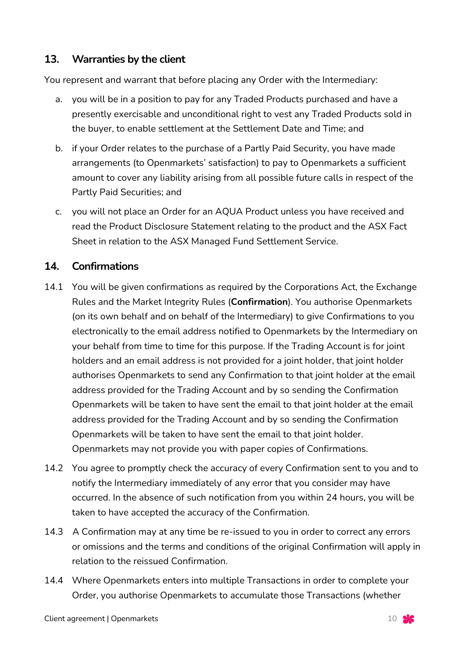#### **13. Warranties by the client**

You represent and warrant that before placing any Order with the Intermediary:

- a. you will be in a position to pay for any Traded Products purchased and have a presently exercisable and unconditional right to vest any Traded Products sold in the buyer, to enable settlement at the Settlement Date and Time; and
- b. if your Order relates to the purchase of a Partly Paid Security, you have made arrangements (to Openmarkets' satisfaction) to pay to Openmarkets a sufficient amount to cover any liability arising from all possible future calls in respect of the Partly Paid Securities; and
- c. you will not place an Order for an AQUA Product unless you have received and read the Product Disclosure Statement relating to the product and the ASX Fact Sheet in relation to the ASX Managed Fund Settlement Service.

#### **14. Confirmations**

- 14.1 You will be given confirmations as required by the Corporations Act, the Exchange Rules and the Market Integrity Rules (**Confirmation**). You authorise Openmarkets (on its own behalf and on behalf of the Intermediary) to give Confirmations to you electronically to the email address notified to Openmarkets by the Intermediary on your behalf from time to time for this purpose. If the Trading Account is for joint holders and an email address is not provided for a joint holder, that joint holder authorises Openmarkets to send any Confirmation to that joint holder at the email address provided for the Trading Account and by so sending the Confirmation Openmarkets will be taken to have sent the email to that joint holder at the email address provided for the Trading Account and by so sending the Confirmation Openmarkets will be taken to have sent the email to that joint holder. Openmarkets may not provide you with paper copies of Confirmations.
- 14.2 You agree to promptly check the accuracy of every Confirmation sent to you and to notify the Intermediary immediately of any error that you consider may have occurred. In the absence of such notification from you within 24 hours, you will be taken to have accepted the accuracy of the Confirmation.
- 14.3 A Confirmation may at any time be re-issued to you in order to correct any errors or omissions and the terms and conditions of the original Confirmation will apply in relation to the reissued Confirmation.
- 14.4 Where Openmarkets enters into multiple Transactions in order to complete your Order, you authorise Openmarkets to accumulate those Transactions (whether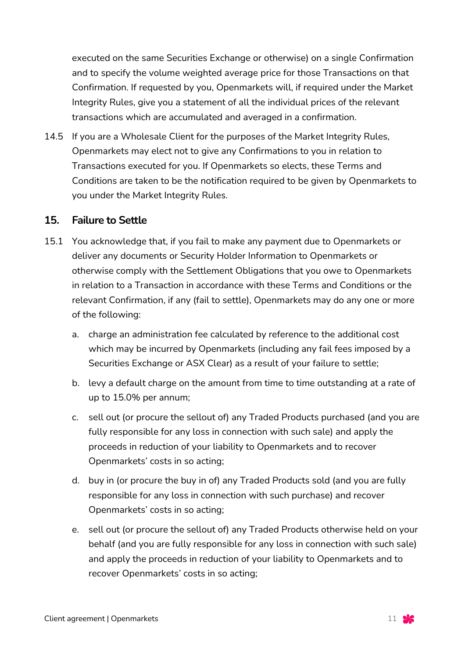executed on the same Securities Exchange or otherwise) on a single Confirmation and to specify the volume weighted average price for those Transactions on that Confirmation. If requested by you, Openmarkets will, if required under the Market Integrity Rules, give you a statement of all the individual prices of the relevant transactions which are accumulated and averaged in a confirmation.

14.5 If you are a Wholesale Client for the purposes of the Market Integrity Rules, Openmarkets may elect not to give any Confirmations to you in relation to Transactions executed for you. If Openmarkets so elects, these Terms and Conditions are taken to be the notification required to be given by Openmarkets to you under the Market Integrity Rules.

#### **15. Failure to Settle**

- 15.1 You acknowledge that, if you fail to make any payment due to Openmarkets or deliver any documents or Security Holder Information to Openmarkets or otherwise comply with the Settlement Obligations that you owe to Openmarkets in relation to a Transaction in accordance with these Terms and Conditions or the relevant Confirmation, if any (fail to settle), Openmarkets may do any one or more of the following:
	- a. charge an administration fee calculated by reference to the additional cost which may be incurred by Openmarkets (including any fail fees imposed by a Securities Exchange or ASX Clear) as a result of your failure to settle;
	- b. levy a default charge on the amount from time to time outstanding at a rate of up to 15.0% per annum;
	- c. sell out (or procure the sellout of) any Traded Products purchased (and you are fully responsible for any loss in connection with such sale) and apply the proceeds in reduction of your liability to Openmarkets and to recover Openmarkets' costs in so acting;
	- d. buy in (or procure the buy in of) any Traded Products sold (and you are fully responsible for any loss in connection with such purchase) and recover Openmarkets' costs in so acting;
	- e. sell out (or procure the sellout of) any Traded Products otherwise held on your behalf (and you are fully responsible for any loss in connection with such sale) and apply the proceeds in reduction of your liability to Openmarkets and to recover Openmarkets' costs in so acting;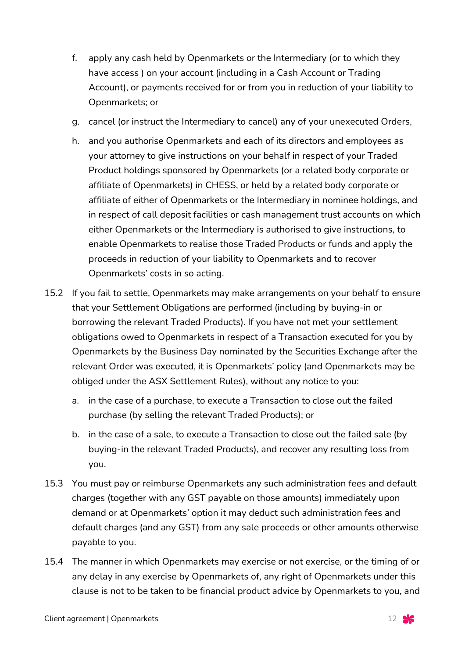- f. apply any cash held by Openmarkets or the Intermediary (or to which they have access ) on your account (including in a Cash Account or Trading Account), or payments received for or from you in reduction of your liability to Openmarkets; or
- g. cancel (or instruct the Intermediary to cancel) any of your unexecuted Orders,
- h. and you authorise Openmarkets and each of its directors and employees as your attorney to give instructions on your behalf in respect of your Traded Product holdings sponsored by Openmarkets (or a related body corporate or affiliate of Openmarkets) in CHESS, or held by a related body corporate or affiliate of either of Openmarkets or the Intermediary in nominee holdings, and in respect of call deposit facilities or cash management trust accounts on which either Openmarkets or the Intermediary is authorised to give instructions, to enable Openmarkets to realise those Traded Products or funds and apply the proceeds in reduction of your liability to Openmarkets and to recover Openmarkets' costs in so acting.
- 15.2 If you fail to settle, Openmarkets may make arrangements on your behalf to ensure that your Settlement Obligations are performed (including by buying-in or borrowing the relevant Traded Products). If you have not met your settlement obligations owed to Openmarkets in respect of a Transaction executed for you by Openmarkets by the Business Day nominated by the Securities Exchange after the relevant Order was executed, it is Openmarkets' policy (and Openmarkets may be obliged under the ASX Settlement Rules), without any notice to you:
	- a. in the case of a purchase, to execute a Transaction to close out the failed purchase (by selling the relevant Traded Products); or
	- b. in the case of a sale, to execute a Transaction to close out the failed sale (by buying-in the relevant Traded Products), and recover any resulting loss from you.
- 15.3 You must pay or reimburse Openmarkets any such administration fees and default charges (together with any GST payable on those amounts) immediately upon demand or at Openmarkets' option it may deduct such administration fees and default charges (and any GST) from any sale proceeds or other amounts otherwise payable to you.
- 15.4 The manner in which Openmarkets may exercise or not exercise, or the timing of or any delay in any exercise by Openmarkets of, any right of Openmarkets under this clause is not to be taken to be financial product advice by Openmarkets to you, and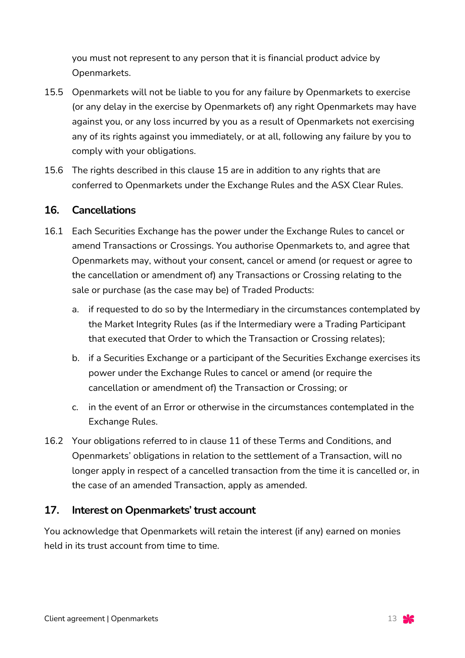you must not represent to any person that it is financial product advice by Openmarkets.

- 15.5 Openmarkets will not be liable to you for any failure by Openmarkets to exercise (or any delay in the exercise by Openmarkets of) any right Openmarkets may have against you, or any loss incurred by you as a result of Openmarkets not exercising any of its rights against you immediately, or at all, following any failure by you to comply with your obligations.
- 15.6 The rights described in this clause 15 are in addition to any rights that are conferred to Openmarkets under the Exchange Rules and the ASX Clear Rules.

## **16. Cancellations**

- 16.1 Each Securities Exchange has the power under the Exchange Rules to cancel or amend Transactions or Crossings. You authorise Openmarkets to, and agree that Openmarkets may, without your consent, cancel or amend (or request or agree to the cancellation or amendment of) any Transactions or Crossing relating to the sale or purchase (as the case may be) of Traded Products:
	- a. if requested to do so by the Intermediary in the circumstances contemplated by the Market Integrity Rules (as if the Intermediary were a Trading Participant that executed that Order to which the Transaction or Crossing relates);
	- b. if a Securities Exchange or a participant of the Securities Exchange exercises its power under the Exchange Rules to cancel or amend (or require the cancellation or amendment of) the Transaction or Crossing; or
	- c. in the event of an Error or otherwise in the circumstances contemplated in the Exchange Rules.
- 16.2 Your obligations referred to in clause 11 of these Terms and Conditions, and Openmarkets' obligations in relation to the settlement of a Transaction, will no longer apply in respect of a cancelled transaction from the time it is cancelled or, in the case of an amended Transaction, apply as amended.

# **17. Interest on Openmarkets' trust account**

You acknowledge that Openmarkets will retain the interest (if any) earned on monies held in its trust account from time to time.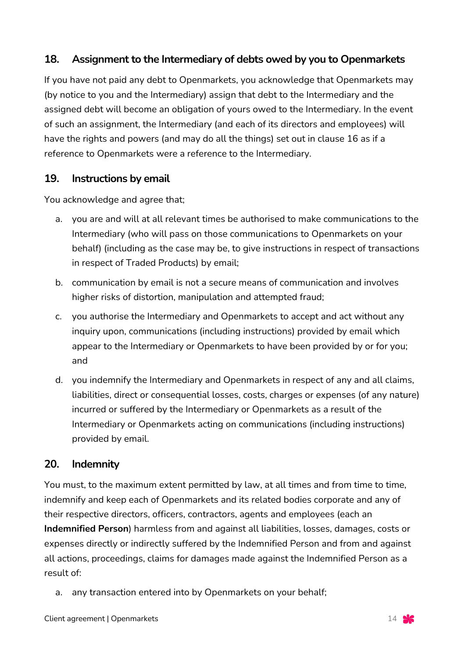## **18. Assignment to the Intermediary of debts owed by you to Openmarkets**

If you have not paid any debt to Openmarkets, you acknowledge that Openmarkets may (by notice to you and the Intermediary) assign that debt to the Intermediary and the assigned debt will become an obligation of yours owed to the Intermediary. In the event of such an assignment, the Intermediary (and each of its directors and employees) will have the rights and powers (and may do all the things) set out in clause 16 as if a reference to Openmarkets were a reference to the Intermediary.

#### **19. Instructions by email**

You acknowledge and agree that;

- a. you are and will at all relevant times be authorised to make communications to the Intermediary (who will pass on those communications to Openmarkets on your behalf) (including as the case may be, to give instructions in respect of transactions in respect of Traded Products) by email;
- b. communication by email is not a secure means of communication and involves higher risks of distortion, manipulation and attempted fraud;
- c. you authorise the Intermediary and Openmarkets to accept and act without any inquiry upon, communications (including instructions) provided by email which appear to the Intermediary or Openmarkets to have been provided by or for you; and
- d. you indemnify the Intermediary and Openmarkets in respect of any and all claims, liabilities, direct or consequential losses, costs, charges or expenses (of any nature) incurred or suffered by the Intermediary or Openmarkets as a result of the Intermediary or Openmarkets acting on communications (including instructions) provided by email.

#### **20. Indemnity**

You must, to the maximum extent permitted by law, at all times and from time to time, indemnify and keep each of Openmarkets and its related bodies corporate and any of their respective directors, officers, contractors, agents and employees (each an **Indemnified Person**) harmless from and against all liabilities, losses, damages, costs or expenses directly or indirectly suffered by the Indemnified Person and from and against all actions, proceedings, claims for damages made against the Indemnified Person as a result of:

a. any transaction entered into by Openmarkets on your behalf;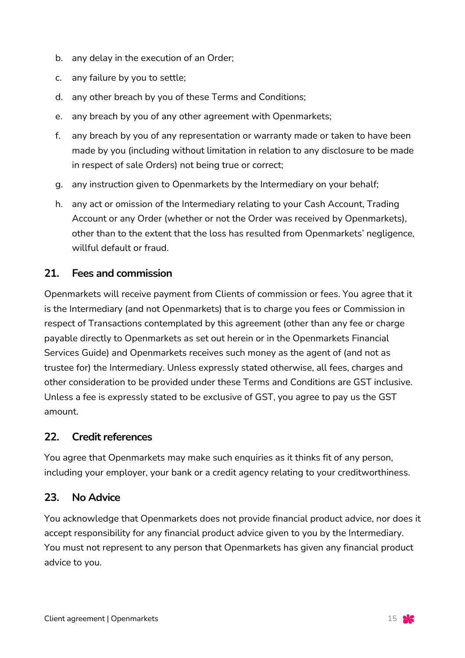- b. any delay in the execution of an Order;
- c. any failure by you to settle;
- d. any other breach by you of these Terms and Conditions;
- e. any breach by you of any other agreement with Openmarkets;
- f. any breach by you of any representation or warranty made or taken to have been made by you (including without limitation in relation to any disclosure to be made in respect of sale Orders) not being true or correct;
- g. any instruction given to Openmarkets by the Intermediary on your behalf;
- h. any act or omission of the Intermediary relating to your Cash Account, Trading Account or any Order (whether or not the Order was received by Openmarkets), other than to the extent that the loss has resulted from Openmarkets' negligence, willful default or fraud.

#### **21. Fees and commission**

Openmarkets will receive payment from Clients of commission or fees. You agree that it is the Intermediary (and not Openmarkets) that is to charge you fees or Commission in respect of Transactions contemplated by this agreement (other than any fee or charge payable directly to Openmarkets as set out herein or in the Openmarkets Financial Services Guide) and Openmarkets receives such money as the agent of (and not as trustee for) the Intermediary. Unless expressly stated otherwise, all fees, charges and other consideration to be provided under these Terms and Conditions are GST inclusive. Unless a fee is expressly stated to be exclusive of GST, you agree to pay us the GST amount.

#### **22. Credit references**

You agree that Openmarkets may make such enquiries as it thinks fit of any person, including your employer, your bank or a credit agency relating to your creditworthiness.

#### **23. No Advice**

You acknowledge that Openmarkets does not provide financial product advice, nor does it accept responsibility for any financial product advice given to you by the Intermediary. You must not represent to any person that Openmarkets has given any financial product advice to you.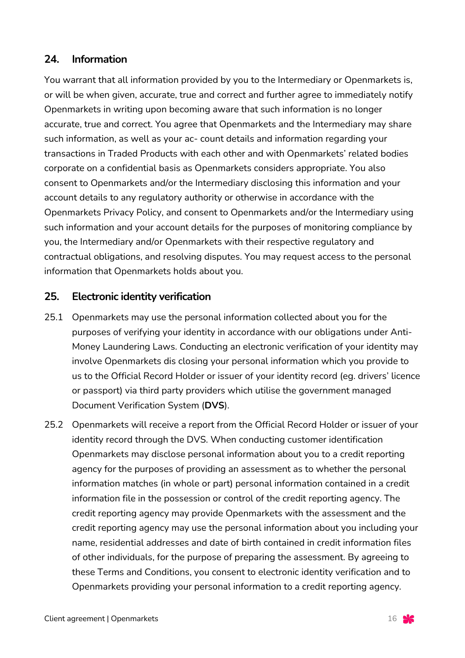#### **24. Information**

You warrant that all information provided by you to the Intermediary or Openmarkets is, or will be when given, accurate, true and correct and further agree to immediately notify Openmarkets in writing upon becoming aware that such information is no longer accurate, true and correct. You agree that Openmarkets and the Intermediary may share such information, as well as your ac- count details and information regarding your transactions in Traded Products with each other and with Openmarkets' related bodies corporate on a confidential basis as Openmarkets considers appropriate. You also consent to Openmarkets and/or the Intermediary disclosing this information and your account details to any regulatory authority or otherwise in accordance with the Openmarkets Privacy Policy, and consent to Openmarkets and/or the Intermediary using such information and your account details for the purposes of monitoring compliance by you, the Intermediary and/or Openmarkets with their respective regulatory and contractual obligations, and resolving disputes. You may request access to the personal information that Openmarkets holds about you.

#### **25. Electronic identity verification**

- 25.1 Openmarkets may use the personal information collected about you for the purposes of verifying your identity in accordance with our obligations under Anti-Money Laundering Laws. Conducting an electronic verification of your identity may involve Openmarkets dis closing your personal information which you provide to us to the Official Record Holder or issuer of your identity record (eg. drivers' licence or passport) via third party providers which utilise the government managed Document Verification System (**DVS**).
- 25.2 Openmarkets will receive a report from the Official Record Holder or issuer of your identity record through the DVS. When conducting customer identification Openmarkets may disclose personal information about you to a credit reporting agency for the purposes of providing an assessment as to whether the personal information matches (in whole or part) personal information contained in a credit information file in the possession or control of the credit reporting agency. The credit reporting agency may provide Openmarkets with the assessment and the credit reporting agency may use the personal information about you including your name, residential addresses and date of birth contained in credit information files of other individuals, for the purpose of preparing the assessment. By agreeing to these Terms and Conditions, you consent to electronic identity verification and to Openmarkets providing your personal information to a credit reporting agency.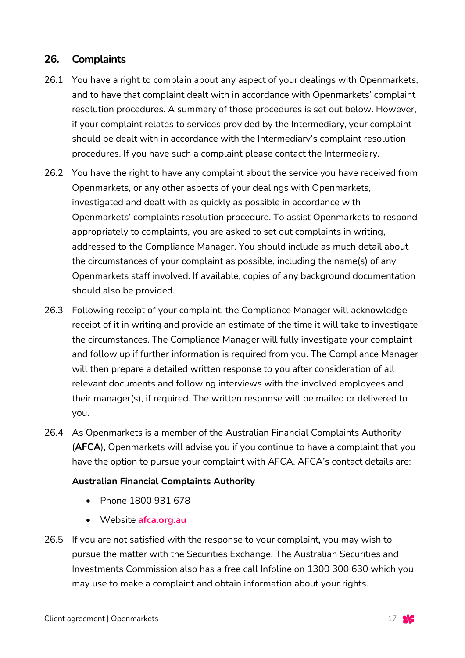#### **26. Complaints**

- 26.1 You have a right to complain about any aspect of your dealings with Openmarkets, and to have that complaint dealt with in accordance with Openmarkets' complaint resolution procedures. A summary of those procedures is set out below. However, if your complaint relates to services provided by the Intermediary, your complaint should be dealt with in accordance with the Intermediary's complaint resolution procedures. If you have such a complaint please contact the Intermediary.
- 26.2 You have the right to have any complaint about the service you have received from Openmarkets, or any other aspects of your dealings with Openmarkets, investigated and dealt with as quickly as possible in accordance with Openmarkets' complaints resolution procedure. To assist Openmarkets to respond appropriately to complaints, you are asked to set out complaints in writing, addressed to the Compliance Manager. You should include as much detail about the circumstances of your complaint as possible, including the name(s) of any Openmarkets staff involved. If available, copies of any background documentation should also be provided.
- 26.3 Following receipt of your complaint, the Compliance Manager will acknowledge receipt of it in writing and provide an estimate of the time it will take to investigate the circumstances. The Compliance Manager will fully investigate your complaint and follow up if further information is required from you. The Compliance Manager will then prepare a detailed written response to you after consideration of all relevant documents and following interviews with the involved employees and their manager(s), if required. The written response will be mailed or delivered to you.
- 26.4 As Openmarkets is a member of the Australian Financial Complaints Authority (**AFCA**), Openmarkets will advise you if you continue to have a complaint that you have the option to pursue your complaint with AFCA. AFCA's contact details are:

#### **Australian Financial Complaints Authority**

- Phone 1800 931 678
- Website **afca.org.au**
- 26.5 If you are not satisfied with the response to your complaint, you may wish to pursue the matter with the Securities Exchange. The Australian Securities and Investments Commission also has a free call Infoline on 1300 300 630 which you may use to make a complaint and obtain information about your rights.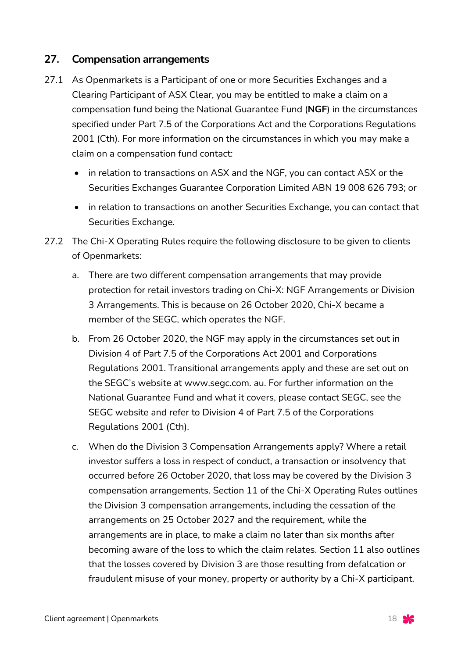#### **27. Compensation arrangements**

- 27.1 As Openmarkets is a Participant of one or more Securities Exchanges and a Clearing Participant of ASX Clear, you may be entitled to make a claim on a compensation fund being the National Guarantee Fund (**NGF**) in the circumstances specified under Part 7.5 of the Corporations Act and the Corporations Regulations 2001 (Cth). For more information on the circumstances in which you may make a claim on a compensation fund contact:
	- in relation to transactions on ASX and the NGF, you can contact ASX or the Securities Exchanges Guarantee Corporation Limited ABN 19 008 626 793; or
	- in relation to transactions on another Securities Exchange, you can contact that Securities Exchange.
- 27.2 The Chi-X Operating Rules require the following disclosure to be given to clients of Openmarkets:
	- a. There are two different compensation arrangements that may provide protection for retail investors trading on Chi-X: NGF Arrangements or Division 3 Arrangements. This is because on 26 October 2020, Chi-X became a member of the SEGC, which operates the NGF.
	- b. From 26 October 2020, the NGF may apply in the circumstances set out in Division 4 of Part 7.5 of the Corporations Act 2001 and Corporations Regulations 2001. Transitional arrangements apply and these are set out on the SEGC's website at www.segc.com. au. For further information on the National Guarantee Fund and what it covers, please contact SEGC, see the SEGC website and refer to Division 4 of Part 7.5 of the Corporations Regulations 2001 (Cth).
	- c. When do the Division 3 Compensation Arrangements apply? Where a retail investor suffers a loss in respect of conduct, a transaction or insolvency that occurred before 26 October 2020, that loss may be covered by the Division 3 compensation arrangements. Section 11 of the Chi-X Operating Rules outlines the Division 3 compensation arrangements, including the cessation of the arrangements on 25 October 2027 and the requirement, while the arrangements are in place, to make a claim no later than six months after becoming aware of the loss to which the claim relates. Section 11 also outlines that the losses covered by Division 3 are those resulting from defalcation or fraudulent misuse of your money, property or authority by a Chi-X participant.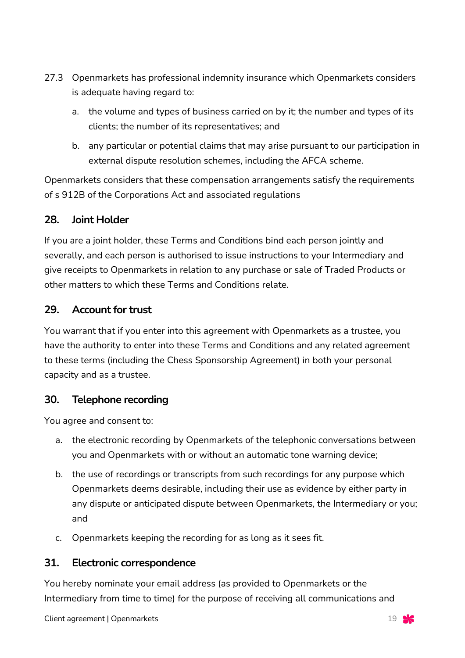- 27.3 Openmarkets has professional indemnity insurance which Openmarkets considers is adequate having regard to:
	- a. the volume and types of business carried on by it; the number and types of its clients; the number of its representatives; and
	- b. any particular or potential claims that may arise pursuant to our participation in external dispute resolution schemes, including the AFCA scheme.

Openmarkets considers that these compensation arrangements satisfy the requirements of s 912B of the Corporations Act and associated regulations

# **28. Joint Holder**

If you are a joint holder, these Terms and Conditions bind each person jointly and severally, and each person is authorised to issue instructions to your Intermediary and give receipts to Openmarkets in relation to any purchase or sale of Traded Products or other matters to which these Terms and Conditions relate.

## **29. Account for trust**

You warrant that if you enter into this agreement with Openmarkets as a trustee, you have the authority to enter into these Terms and Conditions and any related agreement to these terms (including the Chess Sponsorship Agreement) in both your personal capacity and as a trustee.

# **30. Telephone recording**

You agree and consent to:

- a. the electronic recording by Openmarkets of the telephonic conversations between you and Openmarkets with or without an automatic tone warning device;
- b. the use of recordings or transcripts from such recordings for any purpose which Openmarkets deems desirable, including their use as evidence by either party in any dispute or anticipated dispute between Openmarkets, the Intermediary or you; and
- c. Openmarkets keeping the recording for as long as it sees fit.

# **31. Electronic correspondence**

You hereby nominate your email address (as provided to Openmarkets or the Intermediary from time to time) for the purpose of receiving all communications and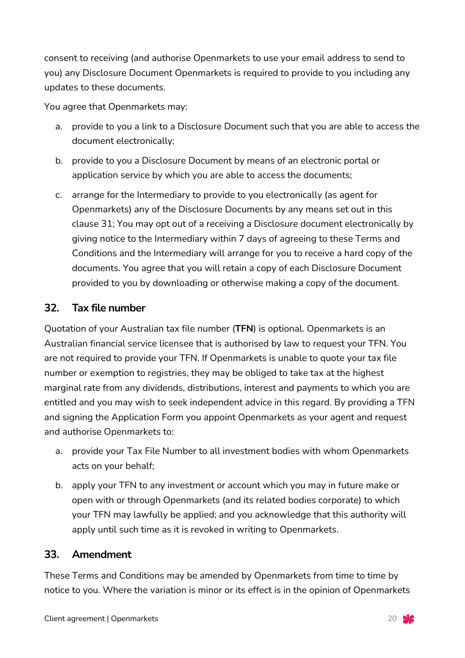consent to receiving (and authorise Openmarkets to use your email address to send to you) any Disclosure Document Openmarkets is required to provide to you including any updates to these documents.

You agree that Openmarkets may:

- a. provide to you a link to a Disclosure Document such that you are able to access the document electronically;
- b. provide to you a Disclosure Document by means of an electronic portal or application service by which you are able to access the documents;
- c. arrange for the Intermediary to provide to you electronically (as agent for Openmarkets) any of the Disclosure Documents by any means set out in this clause 31; You may opt out of a receiving a Disclosure document electronically by giving notice to the Intermediary within 7 days of agreeing to these Terms and Conditions and the Intermediary will arrange for you to receive a hard copy of the documents. You agree that you will retain a copy of each Disclosure Document provided to you by downloading or otherwise making a copy of the document.

# **32. Tax file number**

Quotation of your Australian tax file number (**TFN**) is optional. Openmarkets is an Australian financial service licensee that is authorised by law to request your TFN. You are not required to provide your TFN. If Openmarkets is unable to quote your tax file number or exemption to registries, they may be obliged to take tax at the highest marginal rate from any dividends, distributions, interest and payments to which you are entitled and you may wish to seek independent advice in this regard. By providing a TFN and signing the Application Form you appoint Openmarkets as your agent and request and authorise Openmarkets to:

- a. provide your Tax File Number to all investment bodies with whom Openmarkets acts on your behalf;
- b. apply your TFN to any investment or account which you may in future make or open with or through Openmarkets (and its related bodies corporate) to which your TFN may lawfully be applied; and you acknowledge that this authority will apply until such time as it is revoked in writing to Openmarkets.

# **33. Amendment**

These Terms and Conditions may be amended by Openmarkets from time to time by notice to you. Where the variation is minor or its effect is in the opinion of Openmarkets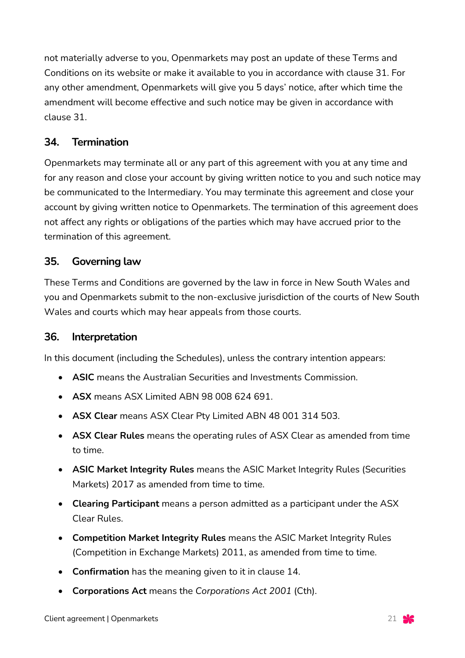not materially adverse to you, Openmarkets may post an update of these Terms and Conditions on its website or make it available to you in accordance with clause 31. For any other amendment, Openmarkets will give you 5 days' notice, after which time the amendment will become effective and such notice may be given in accordance with clause 31.

## **34. Termination**

Openmarkets may terminate all or any part of this agreement with you at any time and for any reason and close your account by giving written notice to you and such notice may be communicated to the Intermediary. You may terminate this agreement and close your account by giving written notice to Openmarkets. The termination of this agreement does not affect any rights or obligations of the parties which may have accrued prior to the termination of this agreement.

## **35. Governing law**

These Terms and Conditions are governed by the law in force in New South Wales and you and Openmarkets submit to the non-exclusive jurisdiction of the courts of New South Wales and courts which may hear appeals from those courts.

#### **36. Interpretation**

In this document (including the Schedules), unless the contrary intention appears:

- **ASIC** means the Australian Securities and Investments Commission.
- **ASX** means ASX Limited ABN 98 008 624 691.
- **ASX Clear** means ASX Clear Pty Limited ABN 48 001 314 503.
- **ASX Clear Rules** means the operating rules of ASX Clear as amended from time to time.
- **ASIC Market Integrity Rules** means the ASIC Market Integrity Rules (Securities Markets) 2017 as amended from time to time.
- **Clearing Participant** means a person admitted as a participant under the ASX Clear Rules.
- **Competition Market Integrity Rules** means the ASIC Market Integrity Rules (Competition in Exchange Markets) 2011, as amended from time to time.
- **Confirmation** has the meaning given to it in clause 14.
- **Corporations Act** means the *Corporations Act 2001* (Cth).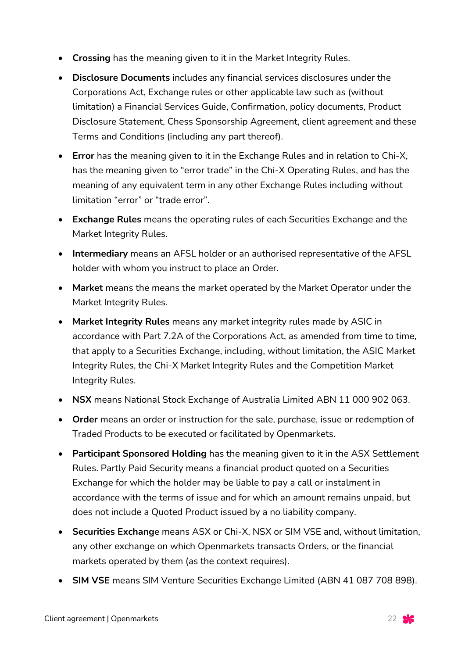- **Crossing** has the meaning given to it in the Market Integrity Rules.
- **Disclosure Documents** includes any financial services disclosures under the Corporations Act, Exchange rules or other applicable law such as (without limitation) a Financial Services Guide, Confirmation, policy documents, Product Disclosure Statement, Chess Sponsorship Agreement, client agreement and these Terms and Conditions (including any part thereof).
- **Error** has the meaning given to it in the Exchange Rules and in relation to Chi-X, has the meaning given to "error trade" in the Chi-X Operating Rules, and has the meaning of any equivalent term in any other Exchange Rules including without limitation "error" or "trade error".
- **Exchange Rules** means the operating rules of each Securities Exchange and the Market Integrity Rules.
- **Intermediary** means an AFSL holder or an authorised representative of the AFSL holder with whom you instruct to place an Order.
- **Market** means the means the market operated by the Market Operator under the Market Integrity Rules.
- **Market Integrity Rules** means any market integrity rules made by ASIC in accordance with Part 7.2A of the Corporations Act, as amended from time to time, that apply to a Securities Exchange, including, without limitation, the ASIC Market Integrity Rules, the Chi-X Market Integrity Rules and the Competition Market Integrity Rules.
- **NSX** means National Stock Exchange of Australia Limited ABN 11 000 902 063.
- **Order** means an order or instruction for the sale, purchase, issue or redemption of Traded Products to be executed or facilitated by Openmarkets.
- **Participant Sponsored Holding** has the meaning given to it in the ASX Settlement Rules. Partly Paid Security means a financial product quoted on a Securities Exchange for which the holder may be liable to pay a call or instalment in accordance with the terms of issue and for which an amount remains unpaid, but does not include a Quoted Product issued by a no liability company.
- **Securities Exchang**e means ASX or Chi-X, NSX or SIM VSE and, without limitation, any other exchange on which Openmarkets transacts Orders, or the financial markets operated by them (as the context requires).
- **SIM VSE** means SIM Venture Securities Exchange Limited (ABN 41 087 708 898).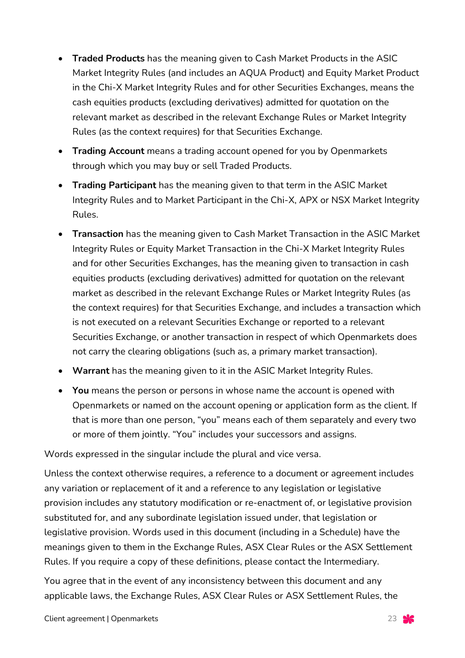- **Traded Products** has the meaning given to Cash Market Products in the ASIC Market Integrity Rules (and includes an AQUA Product) and Equity Market Product in the Chi-X Market Integrity Rules and for other Securities Exchanges, means the cash equities products (excluding derivatives) admitted for quotation on the relevant market as described in the relevant Exchange Rules or Market Integrity Rules (as the context requires) for that Securities Exchange.
- **Trading Account** means a trading account opened for you by Openmarkets through which you may buy or sell Traded Products.
- **Trading Participant** has the meaning given to that term in the ASIC Market Integrity Rules and to Market Participant in the Chi-X, APX or NSX Market Integrity Rules.
- **Transaction** has the meaning given to Cash Market Transaction in the ASIC Market Integrity Rules or Equity Market Transaction in the Chi-X Market Integrity Rules and for other Securities Exchanges, has the meaning given to transaction in cash equities products (excluding derivatives) admitted for quotation on the relevant market as described in the relevant Exchange Rules or Market Integrity Rules (as the context requires) for that Securities Exchange, and includes a transaction which is not executed on a relevant Securities Exchange or reported to a relevant Securities Exchange, or another transaction in respect of which Openmarkets does not carry the clearing obligations (such as, a primary market transaction).
- **Warrant** has the meaning given to it in the ASIC Market Integrity Rules.
- **You** means the person or persons in whose name the account is opened with Openmarkets or named on the account opening or application form as the client. If that is more than one person, "you" means each of them separately and every two or more of them jointly. "You" includes your successors and assigns.

Words expressed in the singular include the plural and vice versa.

Unless the context otherwise requires, a reference to a document or agreement includes any variation or replacement of it and a reference to any legislation or legislative provision includes any statutory modification or re-enactment of, or legislative provision substituted for, and any subordinate legislation issued under, that legislation or legislative provision. Words used in this document (including in a Schedule) have the meanings given to them in the Exchange Rules, ASX Clear Rules or the ASX Settlement Rules. If you require a copy of these definitions, please contact the Intermediary.

You agree that in the event of any inconsistency between this document and any applicable laws, the Exchange Rules, ASX Clear Rules or ASX Settlement Rules, the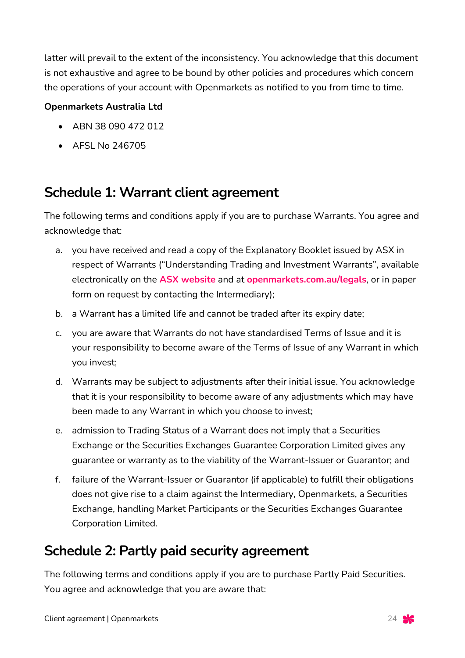latter will prevail to the extent of the inconsistency. You acknowledge that this document is not exhaustive and agree to be bound by other policies and procedures which concern the operations of your account with Openmarkets as notified to you from time to time.

#### **Openmarkets Australia Ltd**

- ABN 38 090 472 012
- AFSL No 246705

# **Schedule 1: Warrant client agreement**

The following terms and conditions apply if you are to purchase Warrants. You agree and acknowledge that:

- a. you have received and read a copy of the Explanatory Booklet issued by ASX in respect of Warrants ("Understanding Trading and Investment Warrants", available electronically on the **ASX website** and at **openmarkets.com.au/legals**, or in paper form on request by contacting the Intermediary);
- b. a Warrant has a limited life and cannot be traded after its expiry date;
- c. you are aware that Warrants do not have standardised Terms of Issue and it is your responsibility to become aware of the Terms of Issue of any Warrant in which you invest;
- d. Warrants may be subject to adjustments after their initial issue. You acknowledge that it is your responsibility to become aware of any adjustments which may have been made to any Warrant in which you choose to invest;
- e. admission to Trading Status of a Warrant does not imply that a Securities Exchange or the Securities Exchanges Guarantee Corporation Limited gives any guarantee or warranty as to the viability of the Warrant-Issuer or Guarantor; and
- f. failure of the Warrant-Issuer or Guarantor (if applicable) to fulfill their obligations does not give rise to a claim against the Intermediary, Openmarkets, a Securities Exchange, handling Market Participants or the Securities Exchanges Guarantee Corporation Limited.

# **Schedule 2: Partly paid security agreement**

The following terms and conditions apply if you are to purchase Partly Paid Securities. You agree and acknowledge that you are aware that: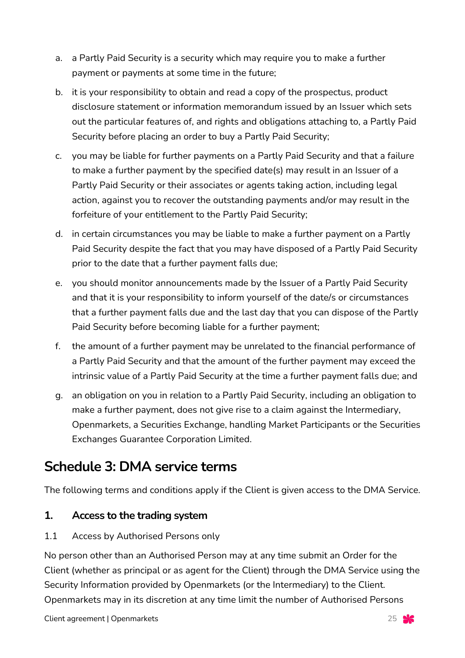- a. a Partly Paid Security is a security which may require you to make a further payment or payments at some time in the future;
- b. it is your responsibility to obtain and read a copy of the prospectus, product disclosure statement or information memorandum issued by an Issuer which sets out the particular features of, and rights and obligations attaching to, a Partly Paid Security before placing an order to buy a Partly Paid Security;
- c. you may be liable for further payments on a Partly Paid Security and that a failure to make a further payment by the specified date(s) may result in an Issuer of a Partly Paid Security or their associates or agents taking action, including legal action, against you to recover the outstanding payments and/or may result in the forfeiture of your entitlement to the Partly Paid Security;
- d. in certain circumstances you may be liable to make a further payment on a Partly Paid Security despite the fact that you may have disposed of a Partly Paid Security prior to the date that a further payment falls due;
- e. you should monitor announcements made by the Issuer of a Partly Paid Security and that it is your responsibility to inform yourself of the date/s or circumstances that a further payment falls due and the last day that you can dispose of the Partly Paid Security before becoming liable for a further payment;
- f. the amount of a further payment may be unrelated to the financial performance of a Partly Paid Security and that the amount of the further payment may exceed the intrinsic value of a Partly Paid Security at the time a further payment falls due; and
- g. an obligation on you in relation to a Partly Paid Security, including an obligation to make a further payment, does not give rise to a claim against the Intermediary, Openmarkets, a Securities Exchange, handling Market Participants or the Securities Exchanges Guarantee Corporation Limited.

# **Schedule 3: DMA service terms**

The following terms and conditions apply if the Client is given access to the DMA Service.

# **1. Access to the trading system**

1.1 Access by Authorised Persons only

No person other than an Authorised Person may at any time submit an Order for the Client (whether as principal or as agent for the Client) through the DMA Service using the Security Information provided by Openmarkets (or the Intermediary) to the Client. Openmarkets may in its discretion at any time limit the number of Authorised Persons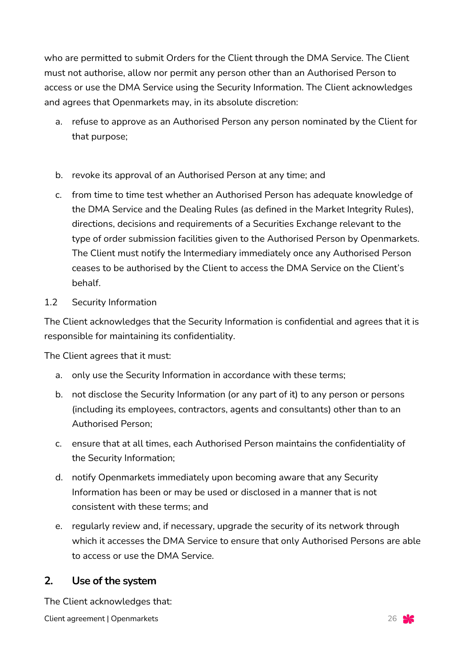who are permitted to submit Orders for the Client through the DMA Service. The Client must not authorise, allow nor permit any person other than an Authorised Person to access or use the DMA Service using the Security Information. The Client acknowledges and agrees that Openmarkets may, in its absolute discretion:

- a. refuse to approve as an Authorised Person any person nominated by the Client for that purpose;
- b. revoke its approval of an Authorised Person at any time; and
- c. from time to time test whether an Authorised Person has adequate knowledge of the DMA Service and the Dealing Rules (as defined in the Market Integrity Rules), directions, decisions and requirements of a Securities Exchange relevant to the type of order submission facilities given to the Authorised Person by Openmarkets. The Client must notify the Intermediary immediately once any Authorised Person ceases to be authorised by the Client to access the DMA Service on the Client's behalf.

## 1.2 Security Information

The Client acknowledges that the Security Information is confidential and agrees that it is responsible for maintaining its confidentiality.

The Client agrees that it must:

- a. only use the Security Information in accordance with these terms;
- b. not disclose the Security Information (or any part of it) to any person or persons (including its employees, contractors, agents and consultants) other than to an Authorised Person;
- c. ensure that at all times, each Authorised Person maintains the confidentiality of the Security Information;
- d. notify Openmarkets immediately upon becoming aware that any Security Information has been or may be used or disclosed in a manner that is not consistent with these terms; and
- e. regularly review and, if necessary, upgrade the security of its network through which it accesses the DMA Service to ensure that only Authorised Persons are able to access or use the DMA Service.

# **2. Use of the system**

Client agreement | Openmarkets 26 and 26 and 26 and 26 and 26 and 26 and 26 and 26 and 26 and 26 and 26 and 26  $\frac{1}{26}$ The Client acknowledges that: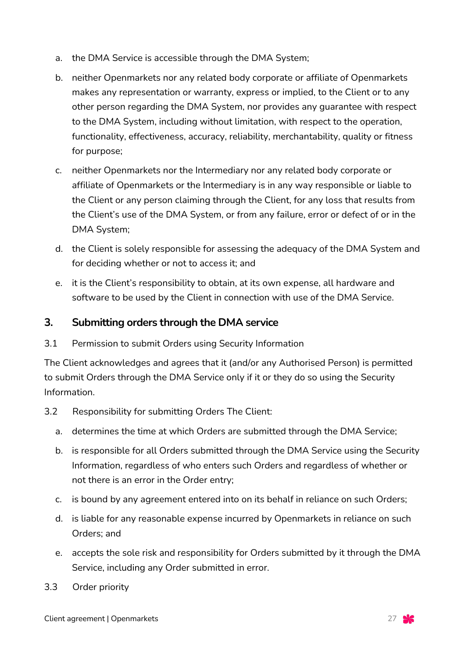- a. the DMA Service is accessible through the DMA System;
- b. neither Openmarkets nor any related body corporate or affiliate of Openmarkets makes any representation or warranty, express or implied, to the Client or to any other person regarding the DMA System, nor provides any guarantee with respect to the DMA System, including without limitation, with respect to the operation, functionality, effectiveness, accuracy, reliability, merchantability, quality or fitness for purpose;
- c. neither Openmarkets nor the Intermediary nor any related body corporate or affiliate of Openmarkets or the Intermediary is in any way responsible or liable to the Client or any person claiming through the Client, for any loss that results from the Client's use of the DMA System, or from any failure, error or defect of or in the DMA System;
- d. the Client is solely responsible for assessing the adequacy of the DMA System and for deciding whether or not to access it; and
- e. it is the Client's responsibility to obtain, at its own expense, all hardware and software to be used by the Client in connection with use of the DMA Service.

#### **3. Submitting orders through the DMA service**

3.1 Permission to submit Orders using Security Information

The Client acknowledges and agrees that it (and/or any Authorised Person) is permitted to submit Orders through the DMA Service only if it or they do so using the Security Information.

- 3.2 Responsibility for submitting Orders The Client:
	- a. determines the time at which Orders are submitted through the DMA Service;
	- b. is responsible for all Orders submitted through the DMA Service using the Security Information, regardless of who enters such Orders and regardless of whether or not there is an error in the Order entry;
	- c. is bound by any agreement entered into on its behalf in reliance on such Orders;
	- d. is liable for any reasonable expense incurred by Openmarkets in reliance on such Orders; and
	- e. accepts the sole risk and responsibility for Orders submitted by it through the DMA Service, including any Order submitted in error.
- 3.3 Order priority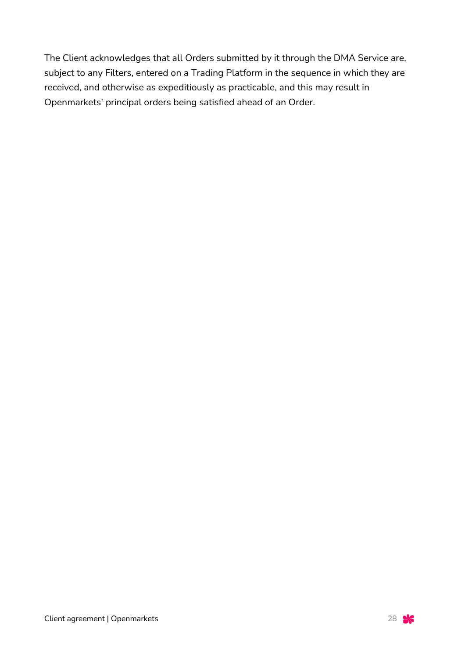The Client acknowledges that all Orders submitted by it through the DMA Service are, subject to any Filters, entered on a Trading Platform in the sequence in which they are received, and otherwise as expeditiously as practicable, and this may result in Openmarkets' principal orders being satisfied ahead of an Order.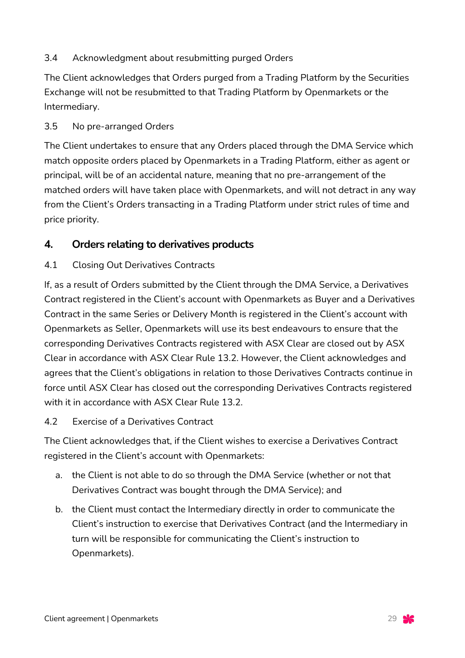### 3.4 Acknowledgment about resubmitting purged Orders

The Client acknowledges that Orders purged from a Trading Platform by the Securities Exchange will not be resubmitted to that Trading Platform by Openmarkets or the Intermediary.

### 3.5 No pre-arranged Orders

The Client undertakes to ensure that any Orders placed through the DMA Service which match opposite orders placed by Openmarkets in a Trading Platform, either as agent or principal, will be of an accidental nature, meaning that no pre-arrangement of the matched orders will have taken place with Openmarkets, and will not detract in any way from the Client's Orders transacting in a Trading Platform under strict rules of time and price priority.

# **4. Orders relating to derivatives products**

## 4.1 Closing Out Derivatives Contracts

If, as a result of Orders submitted by the Client through the DMA Service, a Derivatives Contract registered in the Client's account with Openmarkets as Buyer and a Derivatives Contract in the same Series or Delivery Month is registered in the Client's account with Openmarkets as Seller, Openmarkets will use its best endeavours to ensure that the corresponding Derivatives Contracts registered with ASX Clear are closed out by ASX Clear in accordance with ASX Clear Rule 13.2. However, the Client acknowledges and agrees that the Client's obligations in relation to those Derivatives Contracts continue in force until ASX Clear has closed out the corresponding Derivatives Contracts registered with it in accordance with ASX Clear Rule 13.2.

#### 4.2 Exercise of a Derivatives Contract

The Client acknowledges that, if the Client wishes to exercise a Derivatives Contract registered in the Client's account with Openmarkets:

- a. the Client is not able to do so through the DMA Service (whether or not that Derivatives Contract was bought through the DMA Service); and
- b. the Client must contact the Intermediary directly in order to communicate the Client's instruction to exercise that Derivatives Contract (and the Intermediary in turn will be responsible for communicating the Client's instruction to Openmarkets).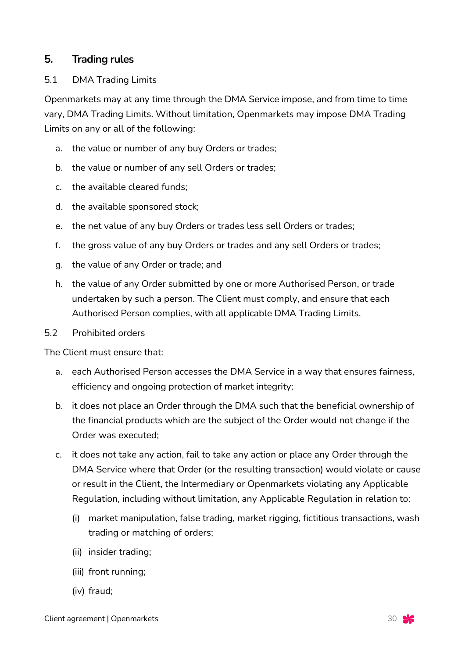#### **5. Trading rules**

#### 5.1 DMA Trading Limits

Openmarkets may at any time through the DMA Service impose, and from time to time vary, DMA Trading Limits. Without limitation, Openmarkets may impose DMA Trading Limits on any or all of the following:

- a. the value or number of any buy Orders or trades;
- b. the value or number of any sell Orders or trades;
- c. the available cleared funds;
- d. the available sponsored stock;
- e. the net value of any buy Orders or trades less sell Orders or trades;
- f. the gross value of any buy Orders or trades and any sell Orders or trades;
- g. the value of any Order or trade; and
- h. the value of any Order submitted by one or more Authorised Person, or trade undertaken by such a person. The Client must comply, and ensure that each Authorised Person complies, with all applicable DMA Trading Limits.
- 5.2 Prohibited orders

The Client must ensure that:

- a. each Authorised Person accesses the DMA Service in a way that ensures fairness, efficiency and ongoing protection of market integrity;
- b. it does not place an Order through the DMA such that the beneficial ownership of the financial products which are the subject of the Order would not change if the Order was executed;
- c. it does not take any action, fail to take any action or place any Order through the DMA Service where that Order (or the resulting transaction) would violate or cause or result in the Client, the Intermediary or Openmarkets violating any Applicable Regulation, including without limitation, any Applicable Regulation in relation to:
	- (i) market manipulation, false trading, market rigging, fictitious transactions, wash trading or matching of orders;
	- (ii) insider trading;
	- (iii) front running;
	- (iv) fraud;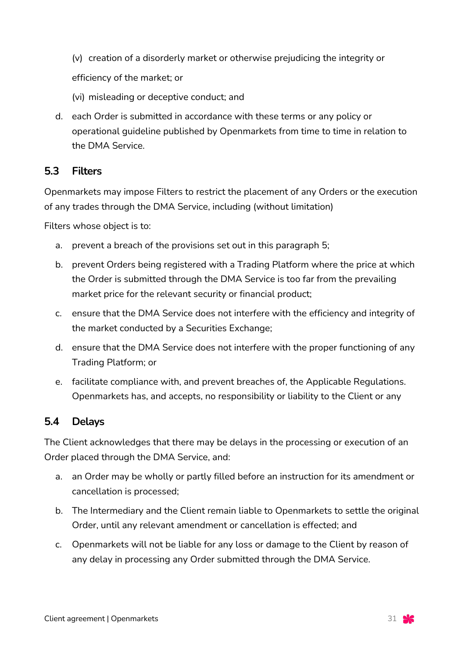- (v) creation of a disorderly market or otherwise prejudicing the integrity or efficiency of the market; or
- (vi) misleading or deceptive conduct; and
- d. each Order is submitted in accordance with these terms or any policy or operational guideline published by Openmarkets from time to time in relation to the DMA Service.

## **5.3 Filters**

Openmarkets may impose Filters to restrict the placement of any Orders or the execution of any trades through the DMA Service, including (without limitation)

Filters whose object is to:

- a. prevent a breach of the provisions set out in this paragraph 5;
- b. prevent Orders being registered with a Trading Platform where the price at which the Order is submitted through the DMA Service is too far from the prevailing market price for the relevant security or financial product;
- c. ensure that the DMA Service does not interfere with the efficiency and integrity of the market conducted by a Securities Exchange;
- d. ensure that the DMA Service does not interfere with the proper functioning of any Trading Platform; or
- e. facilitate compliance with, and prevent breaches of, the Applicable Regulations. Openmarkets has, and accepts, no responsibility or liability to the Client or any

#### **5.4 Delays**

The Client acknowledges that there may be delays in the processing or execution of an Order placed through the DMA Service, and:

- a. an Order may be wholly or partly filled before an instruction for its amendment or cancellation is processed;
- b. The Intermediary and the Client remain liable to Openmarkets to settle the original Order, until any relevant amendment or cancellation is effected; and
- c. Openmarkets will not be liable for any loss or damage to the Client by reason of any delay in processing any Order submitted through the DMA Service.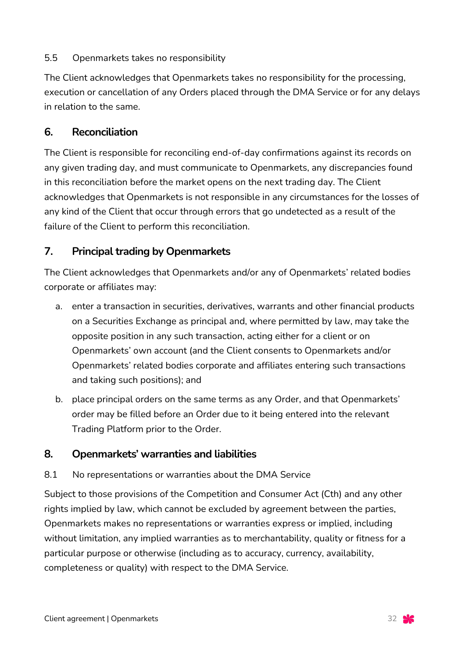#### 5.5 Openmarkets takes no responsibility

The Client acknowledges that Openmarkets takes no responsibility for the processing, execution or cancellation of any Orders placed through the DMA Service or for any delays in relation to the same.

#### **6. Reconciliation**

The Client is responsible for reconciling end-of-day confirmations against its records on any given trading day, and must communicate to Openmarkets, any discrepancies found in this reconciliation before the market opens on the next trading day. The Client acknowledges that Openmarkets is not responsible in any circumstances for the losses of any kind of the Client that occur through errors that go undetected as a result of the failure of the Client to perform this reconciliation.

# **7. Principal trading by Openmarkets**

The Client acknowledges that Openmarkets and/or any of Openmarkets' related bodies corporate or affiliates may:

- a. enter a transaction in securities, derivatives, warrants and other financial products on a Securities Exchange as principal and, where permitted by law, may take the opposite position in any such transaction, acting either for a client or on Openmarkets' own account (and the Client consents to Openmarkets and/or Openmarkets' related bodies corporate and affiliates entering such transactions and taking such positions); and
- b. place principal orders on the same terms as any Order, and that Openmarkets' order may be filled before an Order due to it being entered into the relevant Trading Platform prior to the Order.

#### **8. Openmarkets' warranties and liabilities**

#### 8.1 No representations or warranties about the DMA Service

Subject to those provisions of the Competition and Consumer Act (Cth) and any other rights implied by law, which cannot be excluded by agreement between the parties, Openmarkets makes no representations or warranties express or implied, including without limitation, any implied warranties as to merchantability, quality or fitness for a particular purpose or otherwise (including as to accuracy, currency, availability, completeness or quality) with respect to the DMA Service.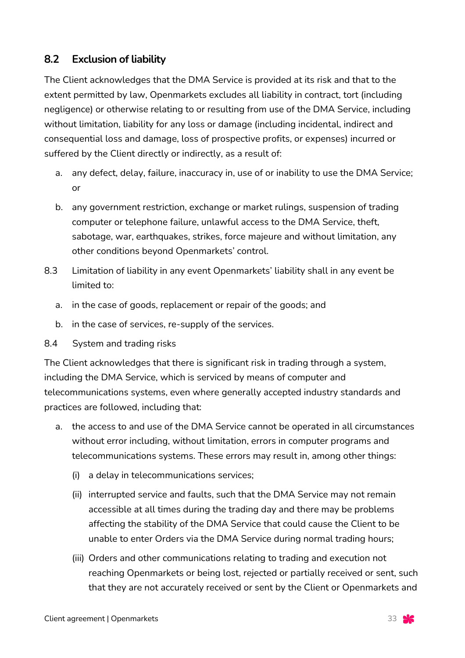## **8.2 Exclusion of liability**

The Client acknowledges that the DMA Service is provided at its risk and that to the extent permitted by law, Openmarkets excludes all liability in contract, tort (including negligence) or otherwise relating to or resulting from use of the DMA Service, including without limitation, liability for any loss or damage (including incidental, indirect and consequential loss and damage, loss of prospective profits, or expenses) incurred or suffered by the Client directly or indirectly, as a result of:

- a. any defect, delay, failure, inaccuracy in, use of or inability to use the DMA Service; or
- b. any government restriction, exchange or market rulings, suspension of trading computer or telephone failure, unlawful access to the DMA Service, theft, sabotage, war, earthquakes, strikes, force majeure and without limitation, any other conditions beyond Openmarkets' control.
- 8.3 Limitation of liability in any event Openmarkets' liability shall in any event be limited to:
	- a. in the case of goods, replacement or repair of the goods; and
	- b. in the case of services, re-supply of the services.
- 8.4 System and trading risks

The Client acknowledges that there is significant risk in trading through a system, including the DMA Service, which is serviced by means of computer and telecommunications systems, even where generally accepted industry standards and practices are followed, including that:

- a. the access to and use of the DMA Service cannot be operated in all circumstances without error including, without limitation, errors in computer programs and telecommunications systems. These errors may result in, among other things:
	- (i) a delay in telecommunications services;
	- (ii) interrupted service and faults, such that the DMA Service may not remain accessible at all times during the trading day and there may be problems affecting the stability of the DMA Service that could cause the Client to be unable to enter Orders via the DMA Service during normal trading hours;
	- (iii) Orders and other communications relating to trading and execution not reaching Openmarkets or being lost, rejected or partially received or sent, such that they are not accurately received or sent by the Client or Openmarkets and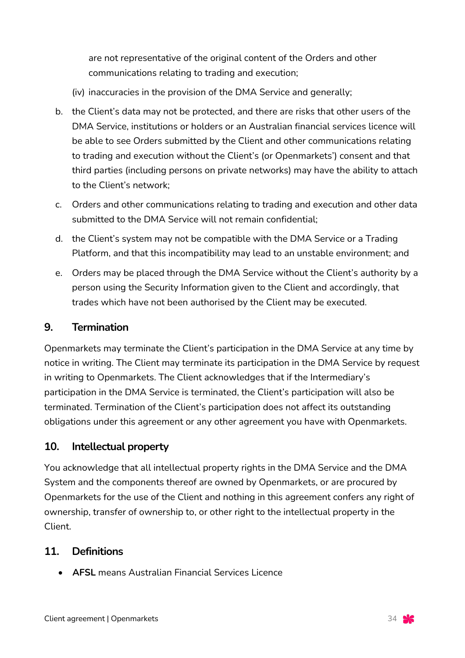are not representative of the original content of the Orders and other communications relating to trading and execution;

- (iv) inaccuracies in the provision of the DMA Service and generally;
- b. the Client's data may not be protected, and there are risks that other users of the DMA Service, institutions or holders or an Australian financial services licence will be able to see Orders submitted by the Client and other communications relating to trading and execution without the Client's (or Openmarkets') consent and that third parties (including persons on private networks) may have the ability to attach to the Client's network;
- c. Orders and other communications relating to trading and execution and other data submitted to the DMA Service will not remain confidential;
- d. the Client's system may not be compatible with the DMA Service or a Trading Platform, and that this incompatibility may lead to an unstable environment; and
- e. Orders may be placed through the DMA Service without the Client's authority by a person using the Security Information given to the Client and accordingly, that trades which have not been authorised by the Client may be executed.

## **9. Termination**

Openmarkets may terminate the Client's participation in the DMA Service at any time by notice in writing. The Client may terminate its participation in the DMA Service by request in writing to Openmarkets. The Client acknowledges that if the Intermediary's participation in the DMA Service is terminated, the Client's participation will also be terminated. Termination of the Client's participation does not affect its outstanding obligations under this agreement or any other agreement you have with Openmarkets.

#### **10. Intellectual property**

You acknowledge that all intellectual property rights in the DMA Service and the DMA System and the components thereof are owned by Openmarkets, or are procured by Openmarkets for the use of the Client and nothing in this agreement confers any right of ownership, transfer of ownership to, or other right to the intellectual property in the Client.

#### **11. Definitions**

• **AFSL** means Australian Financial Services Licence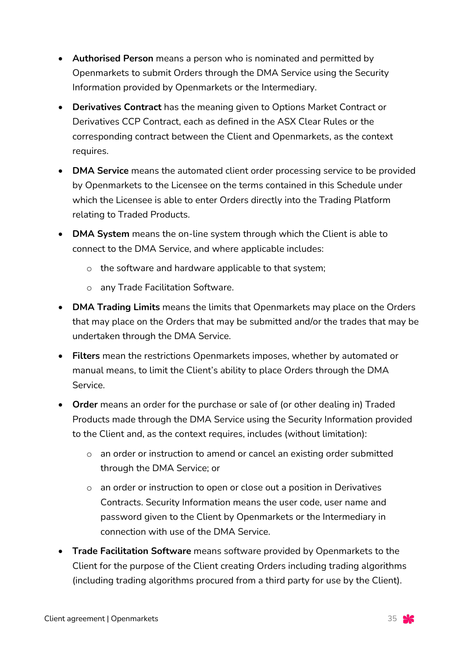- **Authorised Person** means a person who is nominated and permitted by Openmarkets to submit Orders through the DMA Service using the Security Information provided by Openmarkets or the Intermediary.
- **Derivatives Contract** has the meaning given to Options Market Contract or Derivatives CCP Contract, each as defined in the ASX Clear Rules or the corresponding contract between the Client and Openmarkets, as the context requires.
- **DMA Service** means the automated client order processing service to be provided by Openmarkets to the Licensee on the terms contained in this Schedule under which the Licensee is able to enter Orders directly into the Trading Platform relating to Traded Products.
- **DMA System** means the on-line system through which the Client is able to connect to the DMA Service, and where applicable includes:
	- o the software and hardware applicable to that system;
	- o any Trade Facilitation Software.
- **DMA Trading Limits** means the limits that Openmarkets may place on the Orders that may place on the Orders that may be submitted and/or the trades that may be undertaken through the DMA Service.
- **Filters** mean the restrictions Openmarkets imposes, whether by automated or manual means, to limit the Client's ability to place Orders through the DMA Service.
- **Order** means an order for the purchase or sale of (or other dealing in) Traded Products made through the DMA Service using the Security Information provided to the Client and, as the context requires, includes (without limitation):
	- o an order or instruction to amend or cancel an existing order submitted through the DMA Service; or
	- o an order or instruction to open or close out a position in Derivatives Contracts. Security Information means the user code, user name and password given to the Client by Openmarkets or the Intermediary in connection with use of the DMA Service.
- **Trade Facilitation Software** means software provided by Openmarkets to the Client for the purpose of the Client creating Orders including trading algorithms (including trading algorithms procured from a third party for use by the Client).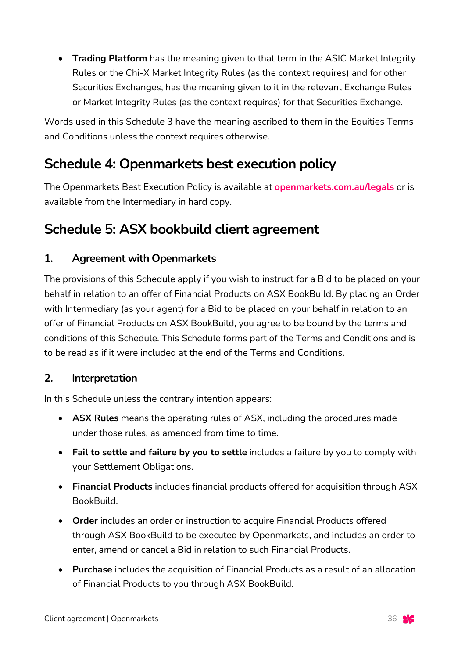• **Trading Platform** has the meaning given to that term in the ASIC Market Integrity Rules or the Chi-X Market Integrity Rules (as the context requires) and for other Securities Exchanges, has the meaning given to it in the relevant Exchange Rules or Market Integrity Rules (as the context requires) for that Securities Exchange.

Words used in this Schedule 3 have the meaning ascribed to them in the Equities Terms and Conditions unless the context requires otherwise.

# **Schedule 4: Openmarkets best execution policy**

The Openmarkets Best Execution Policy is available at **openmarkets.com.au/legals** or is available from the Intermediary in hard copy.

# **Schedule 5: ASX bookbuild client agreement**

# **1. Agreement with Openmarkets**

The provisions of this Schedule apply if you wish to instruct for a Bid to be placed on your behalf in relation to an offer of Financial Products on ASX BookBuild. By placing an Order with Intermediary (as your agent) for a Bid to be placed on your behalf in relation to an offer of Financial Products on ASX BookBuild, you agree to be bound by the terms and conditions of this Schedule. This Schedule forms part of the Terms and Conditions and is to be read as if it were included at the end of the Terms and Conditions.

# **2. Interpretation**

In this Schedule unless the contrary intention appears:

- **ASX Rules** means the operating rules of ASX, including the procedures made under those rules, as amended from time to time.
- **Fail to settle and failure by you to settle** includes a failure by you to comply with your Settlement Obligations.
- **Financial Products** includes financial products offered for acquisition through ASX BookBuild.
- **Order** includes an order or instruction to acquire Financial Products offered through ASX BookBuild to be executed by Openmarkets, and includes an order to enter, amend or cancel a Bid in relation to such Financial Products.
- **Purchase** includes the acquisition of Financial Products as a result of an allocation of Financial Products to you through ASX BookBuild.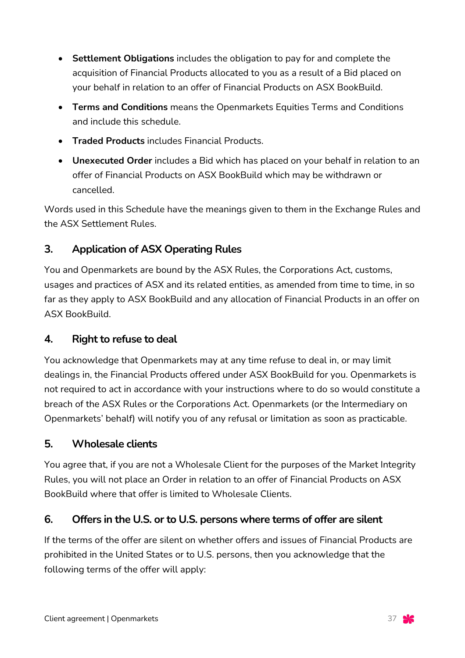- **Settlement Obligations** includes the obligation to pay for and complete the acquisition of Financial Products allocated to you as a result of a Bid placed on your behalf in relation to an offer of Financial Products on ASX BookBuild.
- **Terms and Conditions** means the Openmarkets Equities Terms and Conditions and include this schedule.
- **Traded Products** includes Financial Products.
- **Unexecuted Order** includes a Bid which has placed on your behalf in relation to an offer of Financial Products on ASX BookBuild which may be withdrawn or cancelled.

Words used in this Schedule have the meanings given to them in the Exchange Rules and the ASX Settlement Rules.

# **3. Application of ASX Operating Rules**

You and Openmarkets are bound by the ASX Rules, the Corporations Act, customs, usages and practices of ASX and its related entities, as amended from time to time, in so far as they apply to ASX BookBuild and any allocation of Financial Products in an offer on ASX BookBuild.

# **4. Right to refuse to deal**

You acknowledge that Openmarkets may at any time refuse to deal in, or may limit dealings in, the Financial Products offered under ASX BookBuild for you. Openmarkets is not required to act in accordance with your instructions where to do so would constitute a breach of the ASX Rules or the Corporations Act. Openmarkets (or the Intermediary on Openmarkets' behalf) will notify you of any refusal or limitation as soon as practicable.

# **5. Wholesale clients**

You agree that, if you are not a Wholesale Client for the purposes of the Market Integrity Rules, you will not place an Order in relation to an offer of Financial Products on ASX BookBuild where that offer is limited to Wholesale Clients.

# **6. Offers in the U.S. or to U.S. persons where terms of offer are silent**

If the terms of the offer are silent on whether offers and issues of Financial Products are prohibited in the United States or to U.S. persons, then you acknowledge that the following terms of the offer will apply: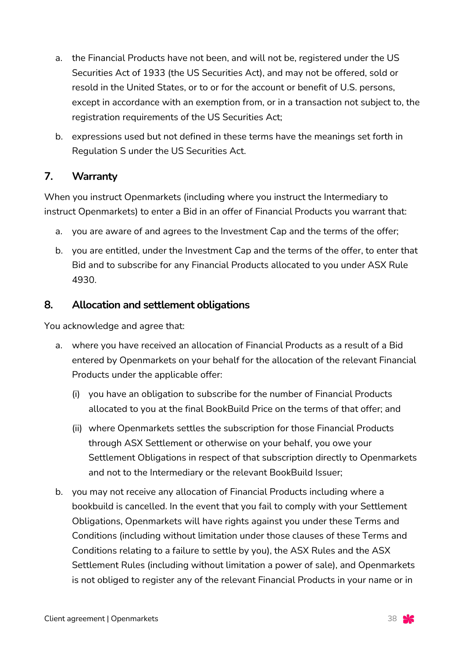- a. the Financial Products have not been, and will not be, registered under the US Securities Act of 1933 (the US Securities Act), and may not be offered, sold or resold in the United States, or to or for the account or benefit of U.S. persons, except in accordance with an exemption from, or in a transaction not subject to, the registration requirements of the US Securities Act;
- b. expressions used but not defined in these terms have the meanings set forth in Regulation S under the US Securities Act.

# **7. Warranty**

When you instruct Openmarkets (including where you instruct the Intermediary to instruct Openmarkets) to enter a Bid in an offer of Financial Products you warrant that:

- a. you are aware of and agrees to the Investment Cap and the terms of the offer;
- b. you are entitled, under the Investment Cap and the terms of the offer, to enter that Bid and to subscribe for any Financial Products allocated to you under ASX Rule 4930.

#### **8. Allocation and settlement obligations**

You acknowledge and agree that:

- a. where you have received an allocation of Financial Products as a result of a Bid entered by Openmarkets on your behalf for the allocation of the relevant Financial Products under the applicable offer:
	- (i) you have an obligation to subscribe for the number of Financial Products allocated to you at the final BookBuild Price on the terms of that offer; and
	- (ii) where Openmarkets settles the subscription for those Financial Products through ASX Settlement or otherwise on your behalf, you owe your Settlement Obligations in respect of that subscription directly to Openmarkets and not to the Intermediary or the relevant BookBuild Issuer;
- b. you may not receive any allocation of Financial Products including where a bookbuild is cancelled. In the event that you fail to comply with your Settlement Obligations, Openmarkets will have rights against you under these Terms and Conditions (including without limitation under those clauses of these Terms and Conditions relating to a failure to settle by you), the ASX Rules and the ASX Settlement Rules (including without limitation a power of sale), and Openmarkets is not obliged to register any of the relevant Financial Products in your name or in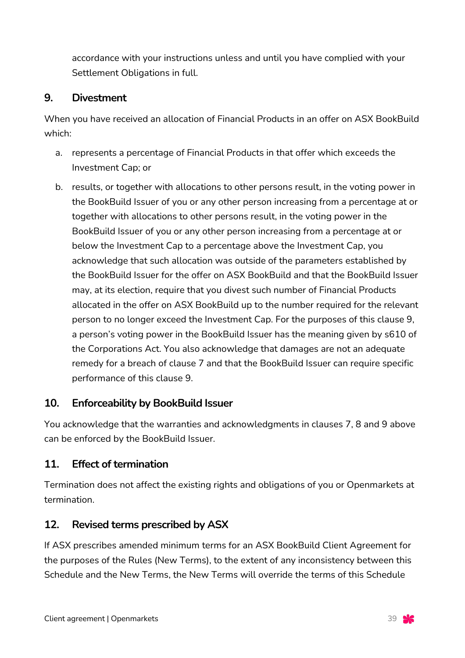accordance with your instructions unless and until you have complied with your Settlement Obligations in full.

## **9. Divestment**

When you have received an allocation of Financial Products in an offer on ASX BookBuild which:

- a. represents a percentage of Financial Products in that offer which exceeds the Investment Cap; or
- b. results, or together with allocations to other persons result, in the voting power in the BookBuild Issuer of you or any other person increasing from a percentage at or together with allocations to other persons result, in the voting power in the BookBuild Issuer of you or any other person increasing from a percentage at or below the Investment Cap to a percentage above the Investment Cap, you acknowledge that such allocation was outside of the parameters established by the BookBuild Issuer for the offer on ASX BookBuild and that the BookBuild Issuer may, at its election, require that you divest such number of Financial Products allocated in the offer on ASX BookBuild up to the number required for the relevant person to no longer exceed the Investment Cap. For the purposes of this clause 9, a person's voting power in the BookBuild Issuer has the meaning given by s610 of the Corporations Act. You also acknowledge that damages are not an adequate remedy for a breach of clause 7 and that the BookBuild Issuer can require specific performance of this clause 9.

# **10. Enforceability by BookBuild Issuer**

You acknowledge that the warranties and acknowledgments in clauses 7, 8 and 9 above can be enforced by the BookBuild Issuer.

# **11. Effect of termination**

Termination does not affect the existing rights and obligations of you or Openmarkets at termination.

#### **12. Revised terms prescribed by ASX**

If ASX prescribes amended minimum terms for an ASX BookBuild Client Agreement for the purposes of the Rules (New Terms), to the extent of any inconsistency between this Schedule and the New Terms, the New Terms will override the terms of this Schedule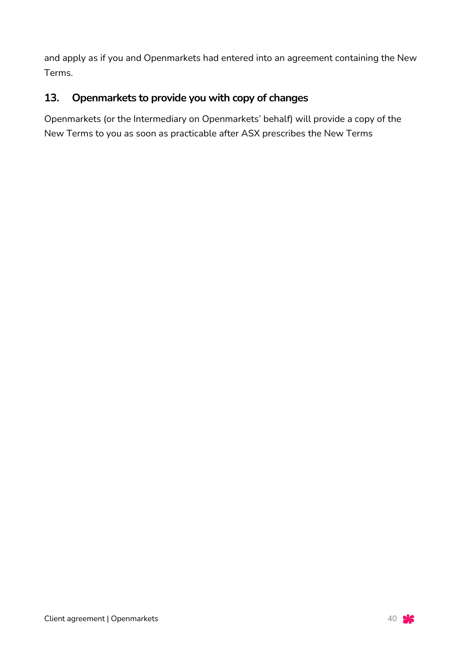and apply as if you and Openmarkets had entered into an agreement containing the New Terms.

# **13. Openmarkets to provide you with copy of changes**

Openmarkets (or the Intermediary on Openmarkets' behalf) will provide a copy of the New Terms to you as soon as practicable after ASX prescribes the New Terms

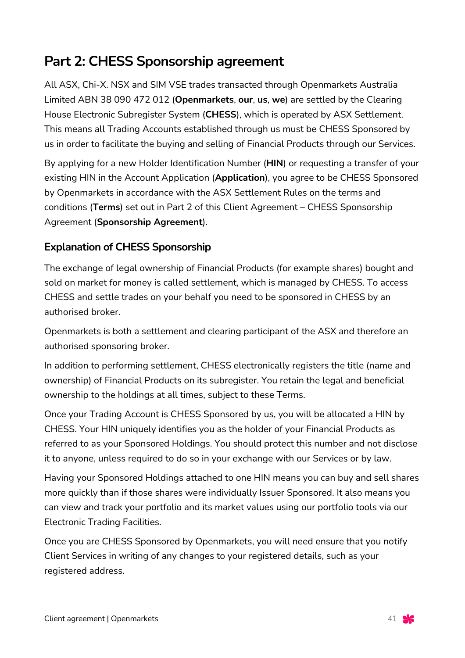# **Part 2: CHESS Sponsorship agreement**

All ASX, Chi-X. NSX and SIM VSE trades transacted through Openmarkets Australia Limited ABN 38 090 472 012 (**Openmarkets**, **our**, **us**, **we**) are settled by the Clearing House Electronic Subregister System (**CHESS**), which is operated by ASX Settlement. This means all Trading Accounts established through us must be CHESS Sponsored by us in order to facilitate the buying and selling of Financial Products through our Services.

By applying for a new Holder Identification Number (**HIN**) or requesting a transfer of your existing HIN in the Account Application (**Application**), you agree to be CHESS Sponsored by Openmarkets in accordance with the ASX Settlement Rules on the terms and conditions (**Terms**) set out in Part 2 of this Client Agreement – CHESS Sponsorship Agreement (**Sponsorship Agreement**).

# **Explanation of CHESS Sponsorship**

The exchange of legal ownership of Financial Products (for example shares) bought and sold on market for money is called settlement, which is managed by CHESS. To access CHESS and settle trades on your behalf you need to be sponsored in CHESS by an authorised broker.

Openmarkets is both a settlement and clearing participant of the ASX and therefore an authorised sponsoring broker.

In addition to performing settlement, CHESS electronically registers the title (name and ownership) of Financial Products on its subregister. You retain the legal and beneficial ownership to the holdings at all times, subject to these Terms.

Once your Trading Account is CHESS Sponsored by us, you will be allocated a HIN by CHESS. Your HIN uniquely identifies you as the holder of your Financial Products as referred to as your Sponsored Holdings. You should protect this number and not disclose it to anyone, unless required to do so in your exchange with our Services or by law.

Having your Sponsored Holdings attached to one HIN means you can buy and sell shares more quickly than if those shares were individually Issuer Sponsored. It also means you can view and track your portfolio and its market values using our portfolio tools via our Electronic Trading Facilities.

Once you are CHESS Sponsored by Openmarkets, you will need ensure that you notify Client Services in writing of any changes to your registered details, such as your registered address.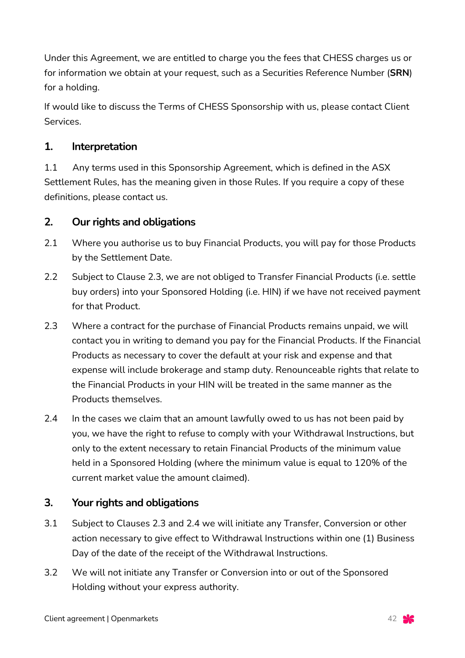Under this Agreement, we are entitled to charge you the fees that CHESS charges us or for information we obtain at your request, such as a Securities Reference Number (**SRN**) for a holding.

If would like to discuss the Terms of CHESS Sponsorship with us, please contact Client Services.

## **1. Interpretation**

1.1 Any terms used in this Sponsorship Agreement, which is defined in the ASX Settlement Rules, has the meaning given in those Rules. If you require a copy of these definitions, please contact us.

#### **2. Our rights and obligations**

- 2.1 Where you authorise us to buy Financial Products, you will pay for those Products by the Settlement Date.
- 2.2 Subject to Clause 2.3, we are not obliged to Transfer Financial Products (i.e. settle buy orders) into your Sponsored Holding (i.e. HIN) if we have not received payment for that Product.
- 2.3 Where a contract for the purchase of Financial Products remains unpaid, we will contact you in writing to demand you pay for the Financial Products. If the Financial Products as necessary to cover the default at your risk and expense and that expense will include brokerage and stamp duty. Renounceable rights that relate to the Financial Products in your HIN will be treated in the same manner as the Products themselves.
- 2.4 In the cases we claim that an amount lawfully owed to us has not been paid by you, we have the right to refuse to comply with your Withdrawal Instructions, but only to the extent necessary to retain Financial Products of the minimum value held in a Sponsored Holding (where the minimum value is equal to 120% of the current market value the amount claimed).

# **3. Your rights and obligations**

- 3.1 Subject to Clauses 2.3 and 2.4 we will initiate any Transfer, Conversion or other action necessary to give effect to Withdrawal Instructions within one (1) Business Day of the date of the receipt of the Withdrawal Instructions.
- 3.2 We will not initiate any Transfer or Conversion into or out of the Sponsored Holding without your express authority.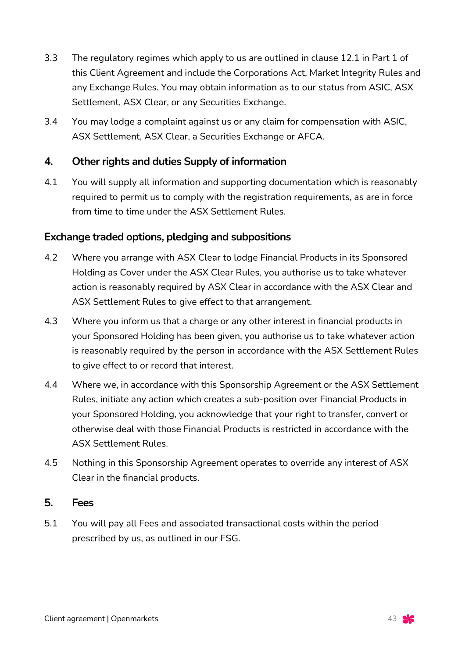- 3.3 The regulatory regimes which apply to us are outlined in clause 12.1 in Part 1 of this Client Agreement and include the Corporations Act, Market Integrity Rules and any Exchange Rules. You may obtain information as to our status from ASIC, ASX Settlement, ASX Clear, or any Securities Exchange.
- 3.4 You may lodge a complaint against us or any claim for compensation with ASIC, ASX Settlement, ASX Clear, a Securities Exchange or AFCA.

#### **4. Other rights and duties Supply of information**

4.1 You will supply all information and supporting documentation which is reasonably required to permit us to comply with the registration requirements, as are in force from time to time under the ASX Settlement Rules.

#### **Exchange traded options, pledging and subpositions**

- 4.2 Where you arrange with ASX Clear to lodge Financial Products in its Sponsored Holding as Cover under the ASX Clear Rules, you authorise us to take whatever action is reasonably required by ASX Clear in accordance with the ASX Clear and ASX Settlement Rules to give effect to that arrangement.
- 4.3 Where you inform us that a charge or any other interest in financial products in your Sponsored Holding has been given, you authorise us to take whatever action is reasonably required by the person in accordance with the ASX Settlement Rules to give effect to or record that interest.
- 4.4 Where we, in accordance with this Sponsorship Agreement or the ASX Settlement Rules, initiate any action which creates a sub-position over Financial Products in your Sponsored Holding, you acknowledge that your right to transfer, convert or otherwise deal with those Financial Products is restricted in accordance with the ASX Settlement Rules.
- 4.5 Nothing in this Sponsorship Agreement operates to override any interest of ASX Clear in the financial products.

#### **5. Fees**

5.1 You will pay all Fees and associated transactional costs within the period prescribed by us, as outlined in our FSG.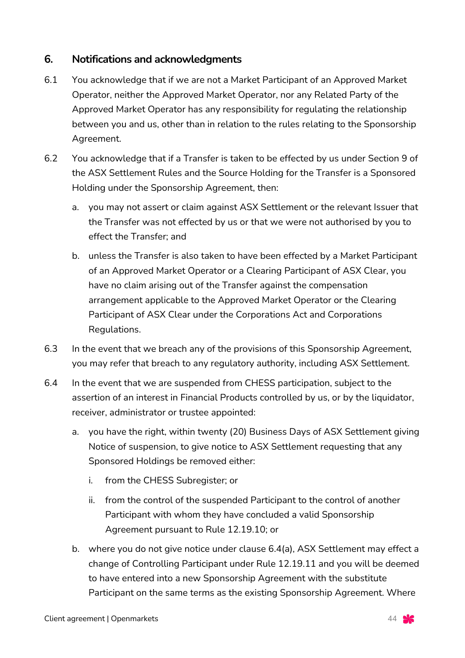#### **6. Notifications and acknowledgments**

- 6.1 You acknowledge that if we are not a Market Participant of an Approved Market Operator, neither the Approved Market Operator, nor any Related Party of the Approved Market Operator has any responsibility for regulating the relationship between you and us, other than in relation to the rules relating to the Sponsorship Agreement.
- 6.2 You acknowledge that if a Transfer is taken to be effected by us under Section 9 of the ASX Settlement Rules and the Source Holding for the Transfer is a Sponsored Holding under the Sponsorship Agreement, then:
	- a. you may not assert or claim against ASX Settlement or the relevant Issuer that the Transfer was not effected by us or that we were not authorised by you to effect the Transfer; and
	- b. unless the Transfer is also taken to have been effected by a Market Participant of an Approved Market Operator or a Clearing Participant of ASX Clear, you have no claim arising out of the Transfer against the compensation arrangement applicable to the Approved Market Operator or the Clearing Participant of ASX Clear under the Corporations Act and Corporations Regulations.
- 6.3 In the event that we breach any of the provisions of this Sponsorship Agreement, you may refer that breach to any regulatory authority, including ASX Settlement.
- 6.4 In the event that we are suspended from CHESS participation, subject to the assertion of an interest in Financial Products controlled by us, or by the liquidator, receiver, administrator or trustee appointed:
	- a. you have the right, within twenty (20) Business Days of ASX Settlement giving Notice of suspension, to give notice to ASX Settlement requesting that any Sponsored Holdings be removed either:
		- i. from the CHESS Subregister; or
		- ii. from the control of the suspended Participant to the control of another Participant with whom they have concluded a valid Sponsorship Agreement pursuant to Rule 12.19.10; or
	- b. where you do not give notice under clause 6.4(a), ASX Settlement may effect a change of Controlling Participant under Rule 12.19.11 and you will be deemed to have entered into a new Sponsorship Agreement with the substitute Participant on the same terms as the existing Sponsorship Agreement. Where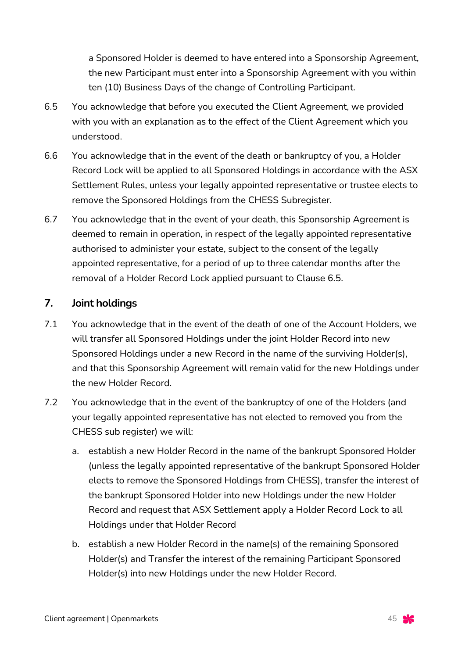a Sponsored Holder is deemed to have entered into a Sponsorship Agreement, the new Participant must enter into a Sponsorship Agreement with you within ten (10) Business Days of the change of Controlling Participant.

- 6.5 You acknowledge that before you executed the Client Agreement, we provided with you with an explanation as to the effect of the Client Agreement which you understood.
- 6.6 You acknowledge that in the event of the death or bankruptcy of you, a Holder Record Lock will be applied to all Sponsored Holdings in accordance with the ASX Settlement Rules, unless your legally appointed representative or trustee elects to remove the Sponsored Holdings from the CHESS Subregister.
- 6.7 You acknowledge that in the event of your death, this Sponsorship Agreement is deemed to remain in operation, in respect of the legally appointed representative authorised to administer your estate, subject to the consent of the legally appointed representative, for a period of up to three calendar months after the removal of a Holder Record Lock applied pursuant to Clause 6.5.

#### **7. Joint holdings**

- 7.1 You acknowledge that in the event of the death of one of the Account Holders, we will transfer all Sponsored Holdings under the joint Holder Record into new Sponsored Holdings under a new Record in the name of the surviving Holder(s), and that this Sponsorship Agreement will remain valid for the new Holdings under the new Holder Record.
- 7.2 You acknowledge that in the event of the bankruptcy of one of the Holders (and your legally appointed representative has not elected to removed you from the CHESS sub register) we will:
	- a. establish a new Holder Record in the name of the bankrupt Sponsored Holder (unless the legally appointed representative of the bankrupt Sponsored Holder elects to remove the Sponsored Holdings from CHESS), transfer the interest of the bankrupt Sponsored Holder into new Holdings under the new Holder Record and request that ASX Settlement apply a Holder Record Lock to all Holdings under that Holder Record
	- b. establish a new Holder Record in the name(s) of the remaining Sponsored Holder(s) and Transfer the interest of the remaining Participant Sponsored Holder(s) into new Holdings under the new Holder Record.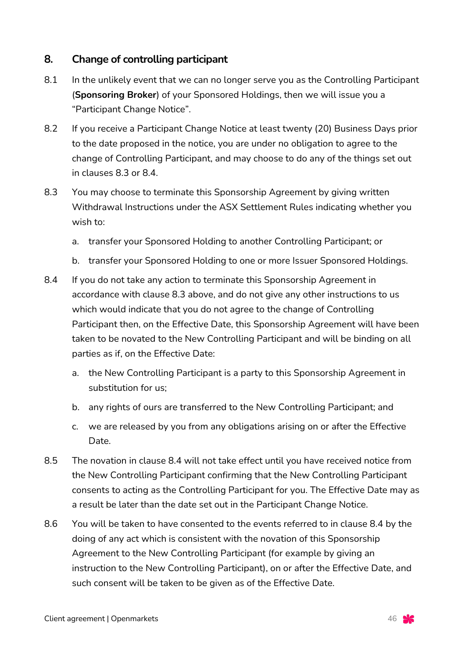#### **8. Change of controlling participant**

- 8.1 In the unlikely event that we can no longer serve you as the Controlling Participant (**Sponsoring Broker**) of your Sponsored Holdings, then we will issue you a "Participant Change Notice".
- 8.2 If you receive a Participant Change Notice at least twenty (20) Business Days prior to the date proposed in the notice, you are under no obligation to agree to the change of Controlling Participant, and may choose to do any of the things set out in clauses 8.3 or 8.4.
- 8.3 You may choose to terminate this Sponsorship Agreement by giving written Withdrawal Instructions under the ASX Settlement Rules indicating whether you wish to:
	- a. transfer your Sponsored Holding to another Controlling Participant; or
	- b. transfer your Sponsored Holding to one or more Issuer Sponsored Holdings.
- 8.4 If you do not take any action to terminate this Sponsorship Agreement in accordance with clause 8.3 above, and do not give any other instructions to us which would indicate that you do not agree to the change of Controlling Participant then, on the Effective Date, this Sponsorship Agreement will have been taken to be novated to the New Controlling Participant and will be binding on all parties as if, on the Effective Date:
	- a. the New Controlling Participant is a party to this Sponsorship Agreement in substitution for us;
	- b. any rights of ours are transferred to the New Controlling Participant; and
	- c. we are released by you from any obligations arising on or after the Effective Date.
- 8.5 The novation in clause 8.4 will not take effect until you have received notice from the New Controlling Participant confirming that the New Controlling Participant consents to acting as the Controlling Participant for you. The Effective Date may as a result be later than the date set out in the Participant Change Notice.
- 8.6 You will be taken to have consented to the events referred to in clause 8.4 by the doing of any act which is consistent with the novation of this Sponsorship Agreement to the New Controlling Participant (for example by giving an instruction to the New Controlling Participant), on or after the Effective Date, and such consent will be taken to be given as of the Effective Date.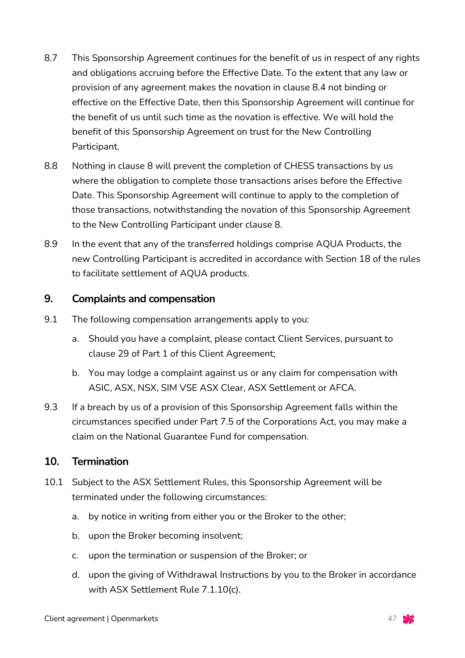- 8.7 This Sponsorship Agreement continues for the benefit of us in respect of any rights and obligations accruing before the Effective Date. To the extent that any law or provision of any agreement makes the novation in clause 8.4 not binding or effective on the Effective Date, then this Sponsorship Agreement will continue for the benefit of us until such time as the novation is effective. We will hold the benefit of this Sponsorship Agreement on trust for the New Controlling Participant.
- 8.8 Nothing in clause 8 will prevent the completion of CHESS transactions by us where the obligation to complete those transactions arises before the Effective Date. This Sponsorship Agreement will continue to apply to the completion of those transactions, notwithstanding the novation of this Sponsorship Agreement to the New Controlling Participant under clause 8.
- 8.9 In the event that any of the transferred holdings comprise AQUA Products, the new Controlling Participant is accredited in accordance with Section 18 of the rules to facilitate settlement of AQUA products.

#### **9. Complaints and compensation**

- 9.1 The following compensation arrangements apply to you:
	- a. Should you have a complaint, please contact Client Services, pursuant to clause 29 of Part 1 of this Client Agreement;
	- b. You may lodge a complaint against us or any claim for compensation with ASIC, ASX, NSX, SIM VSE ASX Clear, ASX Settlement or AFCA.
- 9.3 If a breach by us of a provision of this Sponsorship Agreement falls within the circumstances specified under Part 7.5 of the Corporations Act, you may make a claim on the National Guarantee Fund for compensation.

#### **10. Termination**

- 10.1 Subject to the ASX Settlement Rules, this Sponsorship Agreement will be terminated under the following circumstances:
	- a. by notice in writing from either you or the Broker to the other;
	- b. upon the Broker becoming insolvent;
	- c. upon the termination or suspension of the Broker; or
	- d. upon the giving of Withdrawal Instructions by you to the Broker in accordance with ASX Settlement Rule 7.1.10(c).